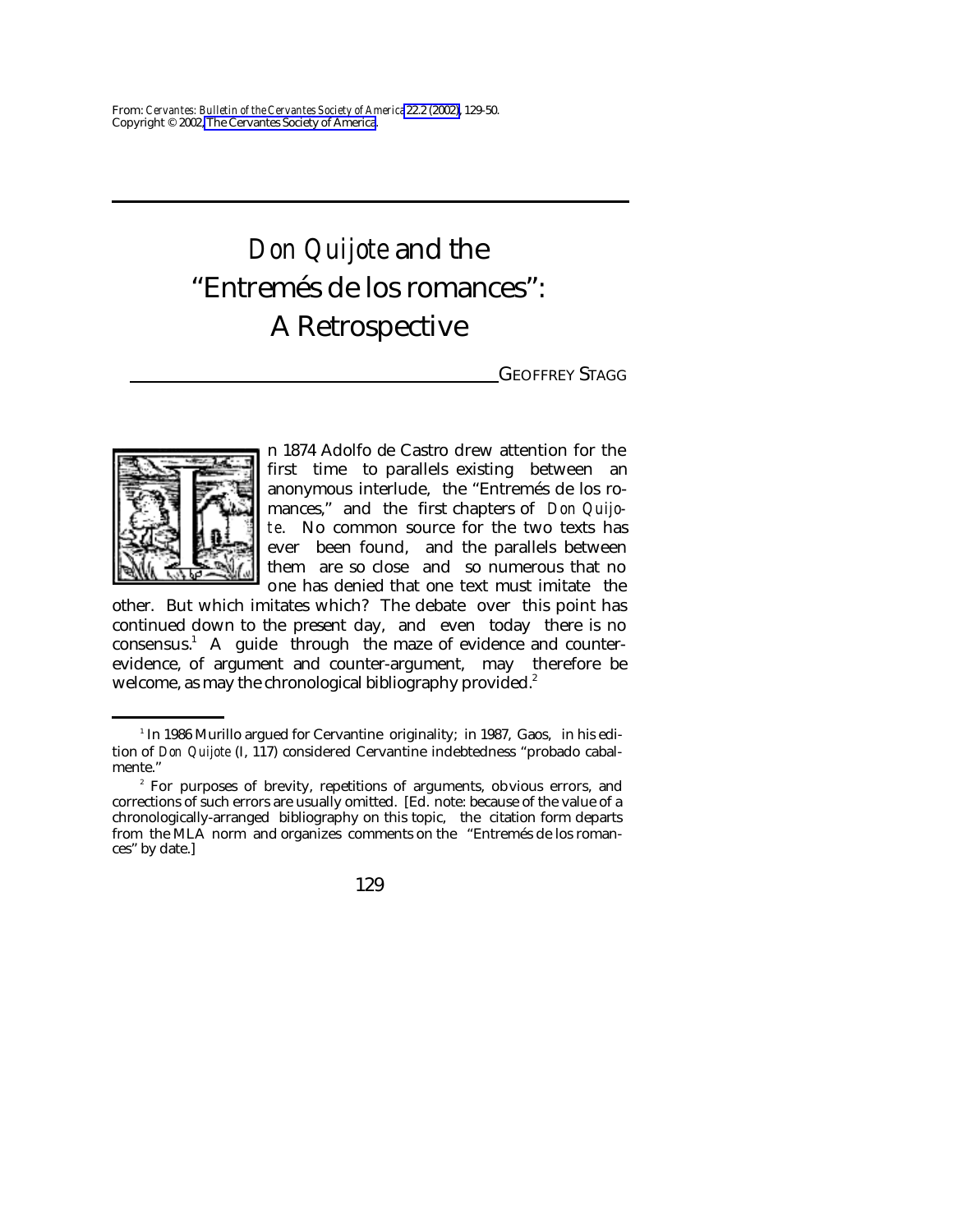# *Don Quijote* and the "Entremés de los romances": A Retrospective

GEOFFREY STAGG



n 1874 Adolfo de Castro drew attention for the first time to parallels existing between an anonymous interlude, the "Entremés de los romances," and the first chapters of *Don Quijote*. No common source for the two texts has ever been found, and the parallels between them are so close and so numerous that no one has denied that one text must imitate the

other. But which imitates which? The debate over this point has continued down to the present day, and even today there is no consensus.<sup>1</sup> A guide through the maze of evidence and counterevidence, of argument and counter-argument, may therefore be welcome, as may the chronological bibliography provided.<sup>2</sup>

<sup>&</sup>lt;sup>1</sup> In 1986 Murillo argued for Cervantine originality; in 1987, Gaos, in his edition of *Don Quijote* (I, 117) considered Cervantine indebtedness "probado cabalmente."

<sup>&</sup>lt;sup>2</sup> For purposes of brevity, repetitions of arguments, obvious errors, and corrections of such errors are usually omitted. [Ed. note: because of the value of a chronologically-arranged bibliography on this topic, the citation form departs from the MLA norm and organizes comments on the "Entremés de los romances" by date.]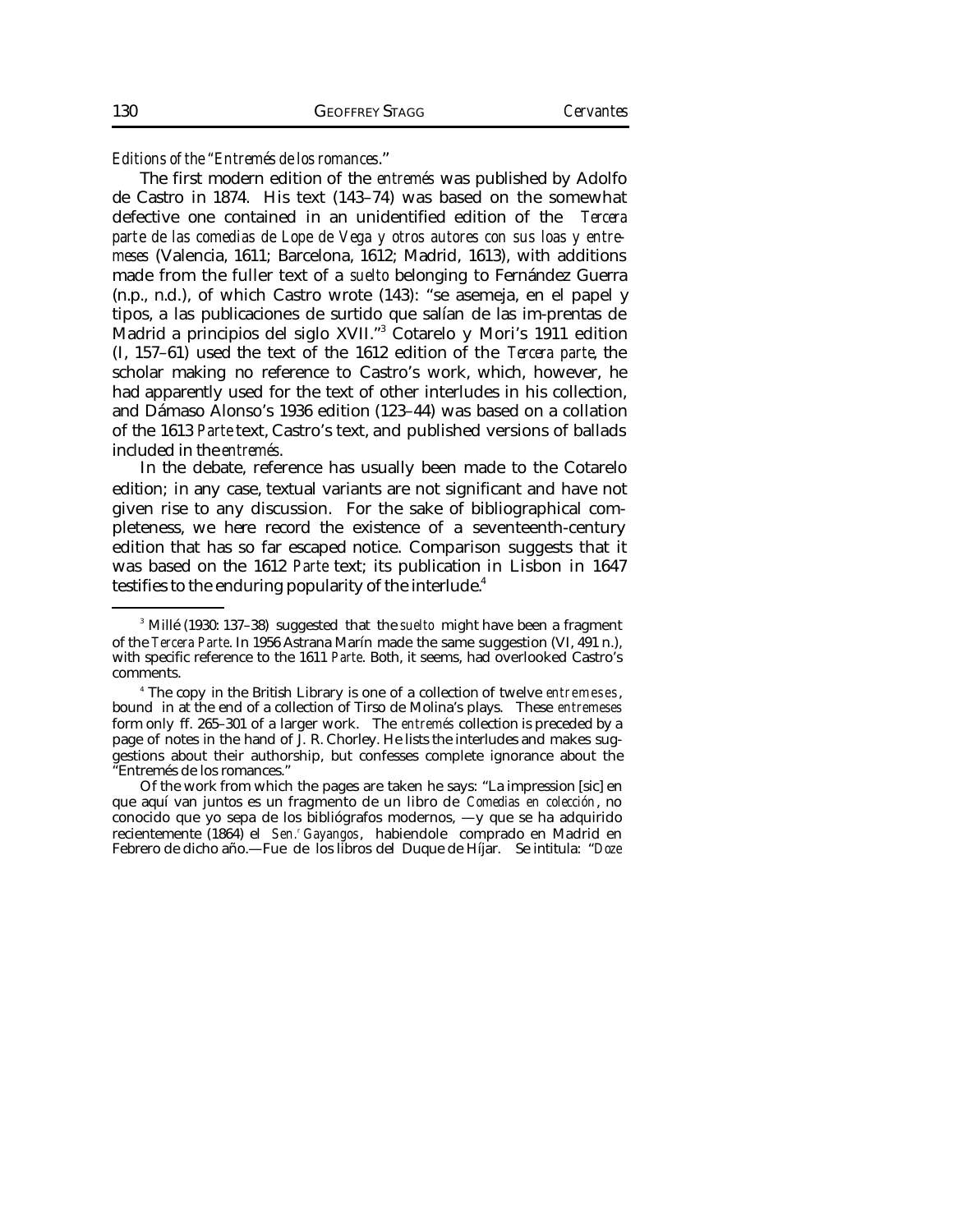*Editions of the "Entremés de los romances*."

The first modern edition of the *entremés* was published by Adolfo de Castro in 1874. His text (143–74) was based on the somewhat defective one contained in an unidentified edition of the *Tercera parte de las comedias de Lope de Vega y otros autores con sus loas y entremeses* (Valencia, 1611; Barcelona, 1612; Madrid, 1613), with additions made from the fuller text of a *suelto* belonging to Fernández Guerra (n.p., n.d.), of which Castro wrote (143): "se asemeja, en el papel y tipos, a las publicaciones de surtido que salían de las im-prentas de Madrid a principios del siglo XVII."<sup>3</sup> Cotarelo y Mori's 1911 edition (I, 157–61) used the text of the 1612 edition of the *Tercera parte*, the scholar making no reference to Castro's work, which, however, he had apparently used for the text of other interludes in his collection, and Dámaso Alonso's 1936 edition (123–44) was based on a collation of the 1613 *Parte* text, Castro's text, and published versions of ballads included in the *entremés*.

In the debate, reference has usually been made to the Cotarelo edition; in any case, textual variants are not significant and have not given rise to any discussion. For the sake of bibliographical completeness, we here record the existence of a seventeenth-century edition that has so far escaped notice. Comparison suggests that it was based on the 1612 *Parte* text; its publication in Lisbon in 1647 testifies to the enduring popularity of the interlude.<sup>4</sup>

<sup>3</sup> Millé (1930: 137–38) suggested that the *suelto* might have been a fragment of the *Tercera Parte*. In 1956 Astrana Marín made the same suggestion (VI, 491 n.), with specific reference to the 1611 *Parte*. Both, it seems, had overlooked Castro's comments.

<sup>4</sup> The copy in the British Library is one of a collection of twelve *entremeses*, bound in at the end of a collection of Tirso de Molina's plays. These *entremeses* form only ff. 265–301 of a larger work. The *entremés* collection is preceded by a page of notes in the hand of J. R. Chorley. He lists the interludes and makes suggestions about their authorship, but confesses complete ignorance about the "Entremés de los romances."

Of the work from which the pages are taken he says: "La impression [sic] en que aquí van juntos es un fragmento de un libro de *Comedias en colección*, no conocido que yo sepa de los bibliógrafos modernos, —y que se ha adquirido recientemente (1864) el *Sen.<sup>r</sup> Gayangos*, habiendole comprado en Madrid en Febrero de dicho año.—Fue de los libros del Duque de Híjar. Se intitula: "*Doze*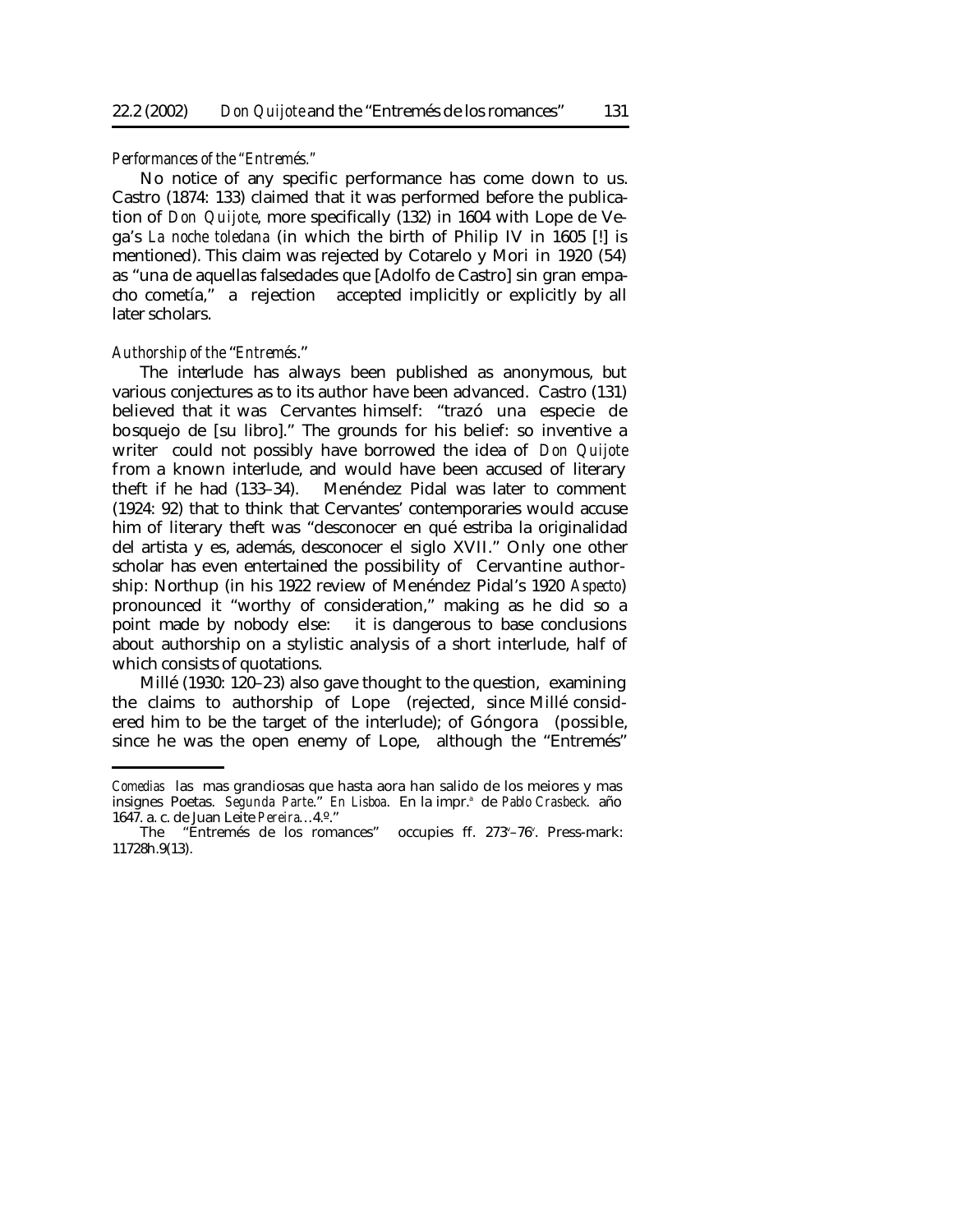#### *Performances of the "Entremés."*

No notice of any specific performance has come down to us. Castro (1874: 133) claimed that it was performed before the publication of *Don Quijote*, more specifically (132) in 1604 with Lope de Vega's *La noche toledana* (in which the birth of Philip IV in 1605 [!] is mentioned). This claim was rejected by Cotarelo y Mori in 1920 (54) as "una de aquellas falsedades que [Adolfo de Castro] sin gran empacho cometía," a rejection accepted implicitly or explicitly by all later scholars.

#### *Authorship of the* "*Entremés*."

The interlude has always been published as anonymous, but various conjectures as to its author have been advanced. Castro (131) believed that it was Cervantes himself: "trazó una especie de bosquejo de [su libro]." The grounds for his belief: so inventive a writer could not possibly have borrowed the idea of *Don Quijote* from a known interlude, and would have been accused of literary theft if he had (133–34). Menéndez Pidal was later to comment (1924: 92) that to think that Cervantes' contemporaries would accuse him of literary theft was "desconocer en qué estriba la originalidad del artista y es, además, desconocer el siglo XVII." Only one other scholar has even entertained the possibility of Cervantine authorship: Northup (in his 1922 review of Menéndez Pidal's 1920 *Aspecto*) pronounced it "worthy of consideration," making as he did so a point made by nobody else: it is dangerous to base conclusions about authorship on a stylistic analysis of a short interlude, half of which consists of quotations.

Millé (1930: 120–23) also gave thought to the question, examining the claims to authorship of Lope (rejected, since Millé considered him to be the target of the interlude); of Góngora (possible, since he was the open enemy of Lope, although the "Entremés"

*Comedias* las mas grandiosas que hasta aora han salido de los meiores y mas insignes Poetas. Segunda Parte." En Lisboa. En la impr.<sup>a</sup> de Pablo Crasbeck. año 1647. a. c. de Juan Leite *Pereira*…4.º."

The "Entremés de los romances" occupies ff. 273<sup>v</sup>-76<sup>v</sup>. Press-mark: 11728h.9(13).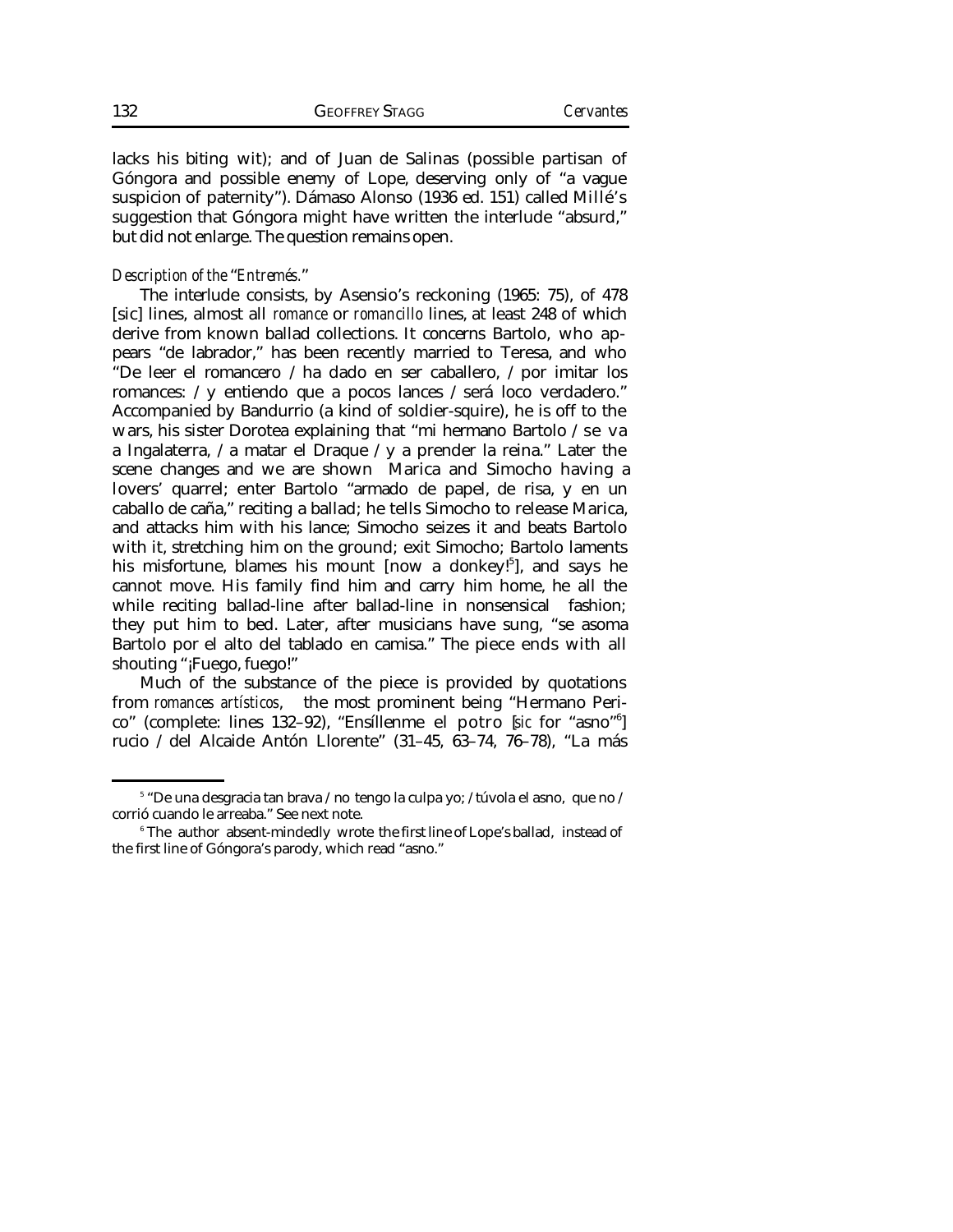lacks his biting wit); and of Juan de Salinas (possible partisan of Góngora and possible enemy of Lope, deserving only of "a vague suspicion of paternity"). Dámaso Alonso (1936 ed. 151) called Millé's suggestion that Góngora might have written the interlude "absurd," but did not enlarge. The question remains open.

# *Description of the* "*Entremés.*"

The interlude consists, by Asensio's reckoning (1965: 75), of 478 [sic] lines, almost all *romance* or *romancillo* lines, at least 248 of which derive from known ballad collections. It concerns Bartolo, who appears "de labrador," has been recently married to Teresa, and who "De leer el romancero / ha dado en ser caballero, / por imitar los romances: / y entiendo que a pocos lances / será loco verdadero." Accompanied by Bandurrio (a kind of soldier-squire), he is off to the wars, his sister Dorotea explaining that "mi hermano Bartolo / se va a Ingalaterra, / a matar el Draque / y a prender la reina." Later the scene changes and we are shown Marica and Simocho having a lovers' quarrel; enter Bartolo "armado de papel, de risa, y en un caballo de caña," reciting a ballad; he tells Simocho to release Marica, and attacks him with his lance; Simocho seizes it and beats Bartolo with it, stretching him on the ground; exit Simocho; Bartolo laments his misfortune, blames his mount [now a donkey!<sup>5</sup>], and says he cannot move. His family find him and carry him home, he all the while reciting ballad-line after ballad-line in nonsensical fashion; they put him to bed. Later, after musicians have sung, "se asoma Bartolo por el alto del tablado en camisa." The piece ends with all shouting "¡Fuego, fuego!"

Much of the substance of the piece is provided by quotations from *romances artísticos*, the most prominent being "Hermano Perico" (complete: lines 132–92), "Ensíllenme el potro [*sic* for "asno"<sup>6</sup> ] rucio / del Alcaide Antón Llorente" (31–45, 63–74, 76–78), "La más

<sup>5</sup> "De una desgracia tan brava / no tengo la culpa yo; / túvola el asno, que no / corrió cuando le arreaba." See next note.

 $^6$  The author absent-mindedly wrote the first line of Lope's ballad, instead of the first line of Góngora's parody, which read "asno."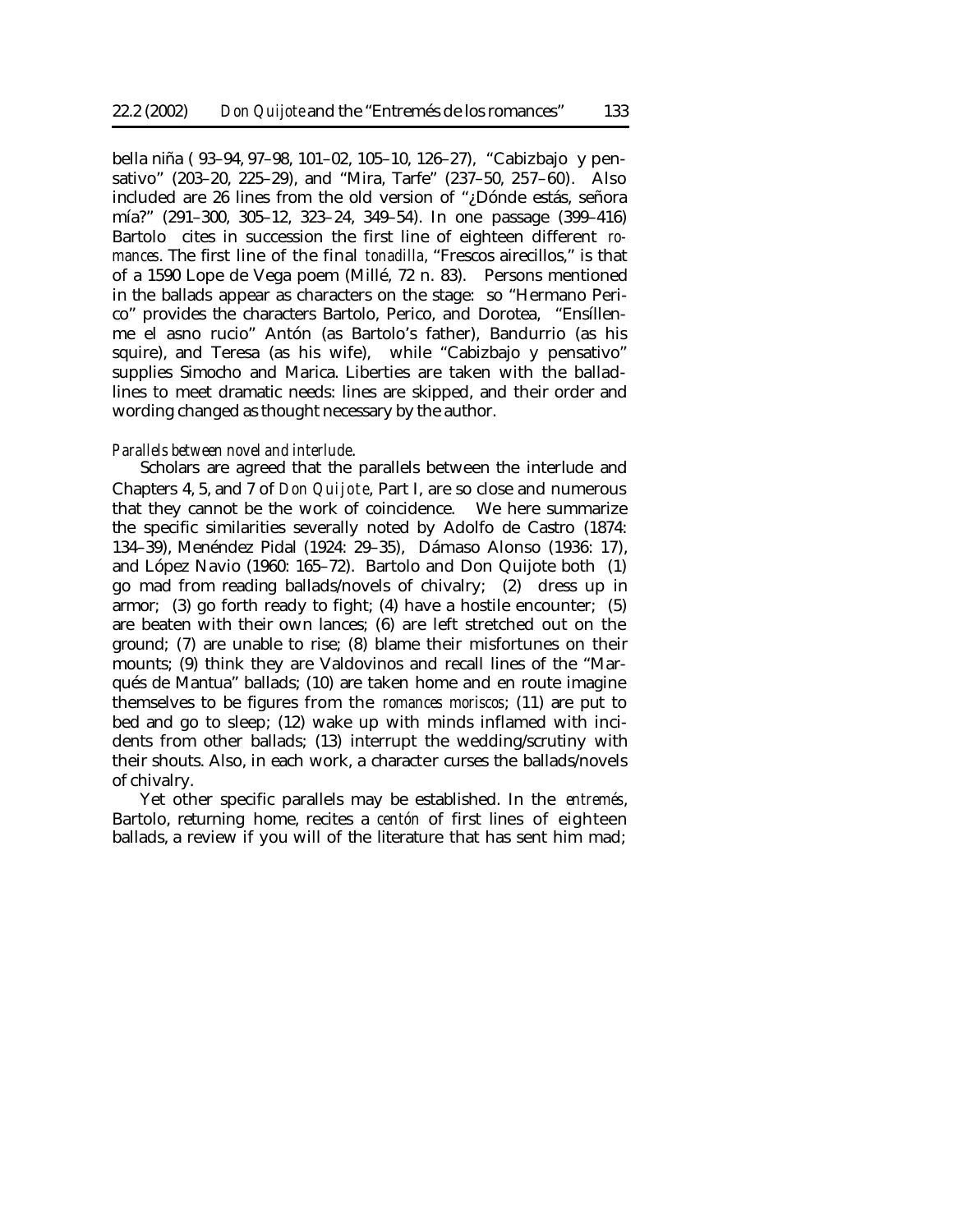bella niña ( 93–94, 97–98, 101–02, 105–10, 126–27), "Cabizbajo y pensativo" (203–20, 225–29), and "Mira, Tarfe" (237–50, 257–60). Also included are 26 lines from the old version of "¿Dónde estás, señora mía?" (291–300, 305–12, 323–24, 349–54). In one passage (399–416) Bartolo cites in succession the first line of eighteen different *romances*. The first line of the final *tonadilla*, "Frescos airecillos," is that of a 1590 Lope de Vega poem (Millé, 72 n. 83). Persons mentioned in the ballads appear as characters on the stage: so "Hermano Perico" provides the characters Bartolo, Perico, and Dorotea, "Ensíllenme el asno rucio" Antón (as Bartolo's father), Bandurrio (as his squire), and Teresa (as his wife), while "Cabizbajo y pensativo" supplies Simocho and Marica. Liberties are taken with the balladlines to meet dramatic needs: lines are skipped, and their order and wording changed as thought necessary by the author.

#### *Parallels between novel and interlude*.

Scholars are agreed that the parallels between the interlude and Chapters 4, 5, and 7 of *Don Quijote*, Part I, are so close and numerous that they cannot be the work of coincidence. We here summarize the specific similarities severally noted by Adolfo de Castro (1874: 134–39), Menéndez Pidal (1924: 29–35), Dámaso Alonso (1936: 17), and López Navio (1960: 165–72). Bartolo and Don Quijote both (1) go mad from reading ballads/novels of chivalry; (2) dress up in armor; (3) go forth ready to fight; (4) have a hostile encounter; (5) are beaten with their own lances; (6) are left stretched out on the ground; (7) are unable to rise; (8) blame their misfortunes on their mounts; (9) think they are Valdovinos and recall lines of the "Marqués de Mantua" ballads; (10) are taken home and en route imagine themselves to be figures from the *romances moriscos*; (11) are put to bed and go to sleep; (12) wake up with minds inflamed with incidents from other ballads; (13) interrupt the wedding/scrutiny with their shouts. Also, in each work, a character curses the ballads/novels of chivalry.

Yet other specific parallels may be established. In the *entremés*, Bartolo, returning home, recites a *centón* of first lines of eighteen ballads, a review if you will of the literature that has sent him mad;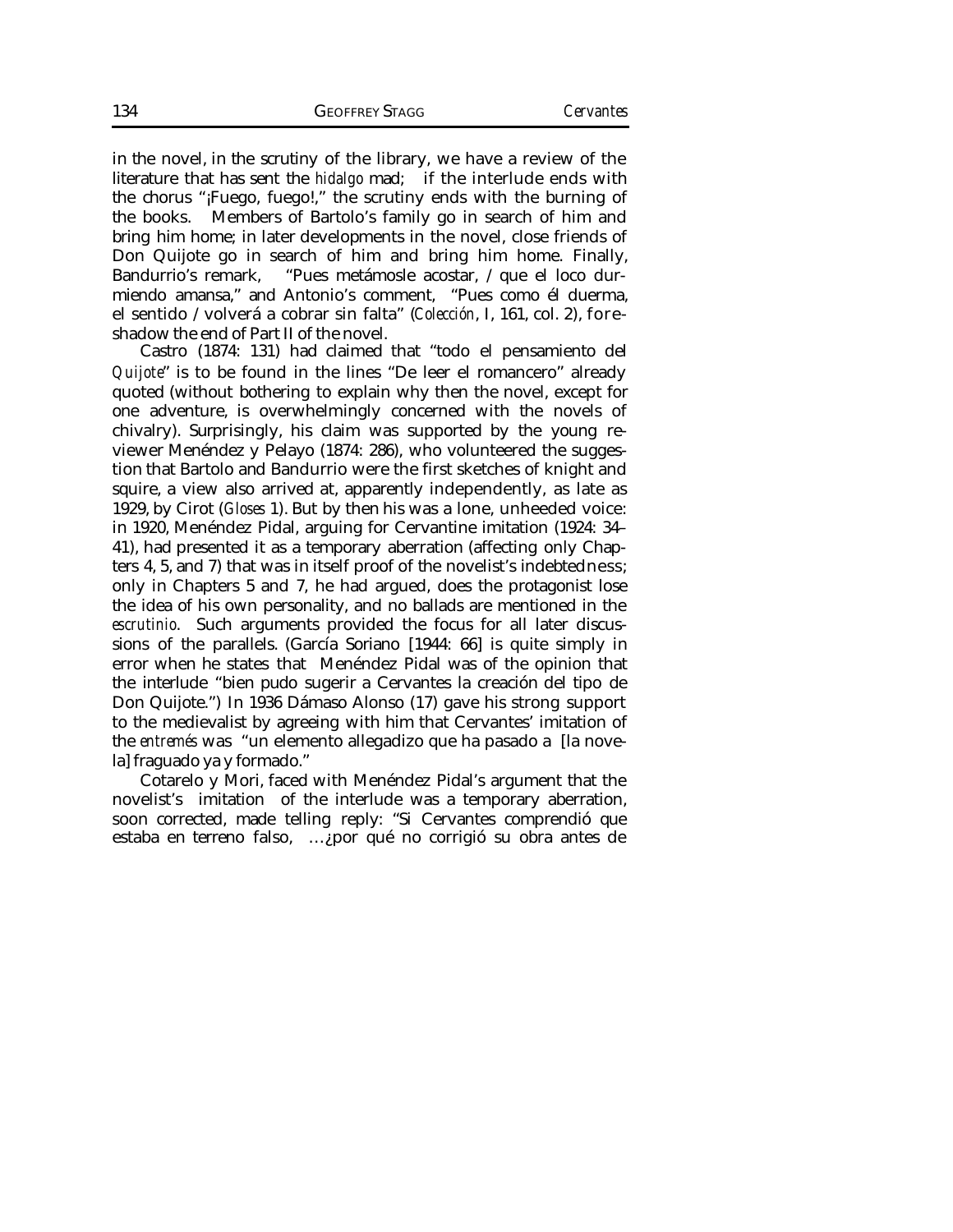in the novel, in the scrutiny of the library, we have a review of the literature that has sent the *hidalgo* mad; if the interlude ends with the chorus "¡Fuego, fuego!," the scrutiny ends with the burning of the books. Members of Bartolo's family go in search of him and bring him home; in later developments in the novel, close friends of Don Quijote go in search of him and bring him home. Finally, Bandurrio's remark, "Pues metámosle acostar, / que el loco durmiendo amansa," and Antonio's comment, "Pues como él duerma, el sentido / volverá a cobrar sin falta" (*Colección*, I, 161, col. 2), foreshadow the end of Part II of the novel.

Castro (1874: 131) had claimed that "todo el pensamiento del *Quijote*" is to be found in the lines "De leer el romancero" already quoted (without bothering to explain why then the novel, except for one adventure, is overwhelmingly concerned with the novels of chivalry). Surprisingly, his claim was supported by the young reviewer Menéndez y Pelayo (1874: 286), who volunteered the suggestion that Bartolo and Bandurrio were the first sketches of knight and squire, a view also arrived at, apparently independently, as late as 1929, by Cirot (*Gloses* 1). But by then his was a lone, unheeded voice: in 1920, Menéndez Pidal, arguing for Cervantine imitation (1924: 34– 41), had presented it as a temporary aberration (affecting only Chapters 4, 5, and 7) that was in itself proof of the novelist's indebtedness; only in Chapters 5 and 7, he had argued, does the protagonist lose the idea of his own personality, and no ballads are mentioned in the *escrutinio*. Such arguments provided the focus for all later discussions of the parallels. (García Soriano [1944: 66] is quite simply in error when he states that Menéndez Pidal was of the opinion that the interlude "bien pudo sugerir a Cervantes la creación del tipo de Don Quijote.") In 1936 Dámaso Alonso (17) gave his strong support to the medievalist by agreeing with him that Cervantes' imitation of the *entremés* was "un elemento allegadizo que ha pasado a [la novela] fraguado ya y formado."

Cotarelo y Mori, faced with Menéndez Pidal's argument that the novelist's imitation of the interlude was a temporary aberration, soon corrected, made telling reply: "Si Cervantes comprendió que estaba en terreno falso, …¿por qué no corrigió su obra antes de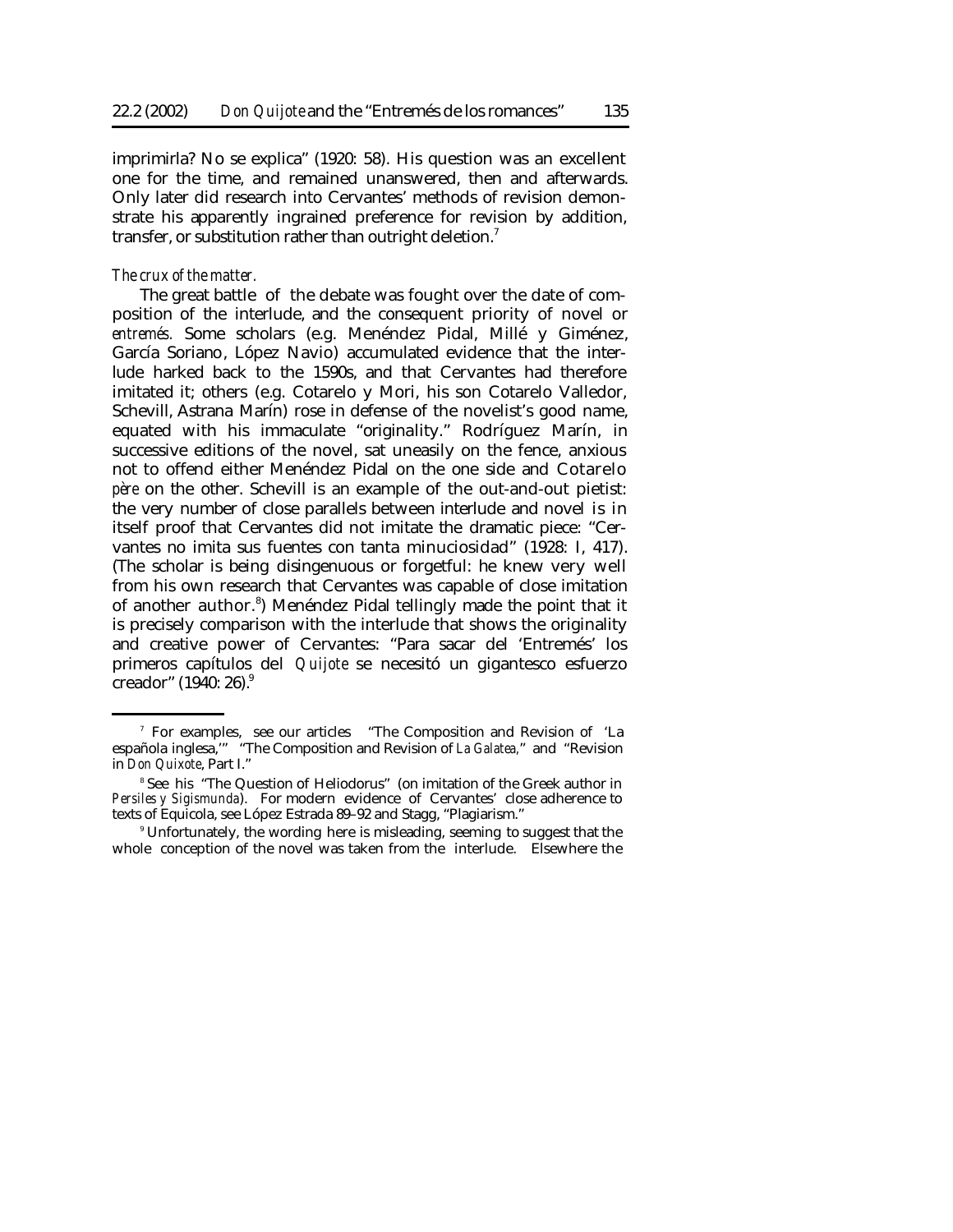imprimirla? No se explica" (1920: 58). His question was an excellent one for the time, and remained unanswered, then and afterwards. Only later did research into Cervantes' methods of revision demonstrate his apparently ingrained preference for revision by addition, transfer, or substitution rather than outright deletion.<sup>7</sup>

### *The crux of the matter.*

The great battle of the debate was fought over the date of composition of the interlude, and the consequent priority of novel or *entremés.* Some scholars (e.g. Menéndez Pidal, Millé y Giménez, García Soriano, López Navio) accumulated evidence that the interlude harked back to the 1590s, and that Cervantes had therefore imitated it; others (e.g. Cotarelo y Mori, his son Cotarelo Valledor, Schevill, Astrana Marín) rose in defense of the novelist's good name, equated with his immaculate "originality." Rodríguez Marín, in successive editions of the novel, sat uneasily on the fence, anxious not to offend either Menéndez Pidal on the one side and Cotarelo *père* on the other. Schevill is an example of the out-and-out pietist: the very number of close parallels between interlude and novel is in itself proof that Cervantes did not imitate the dramatic piece: "Cervantes no imita sus fuentes con tanta minuciosidad" (1928: I, 417). (The scholar is being disingenuous or forgetful: he knew very well from his own research that Cervantes was capable of close imitation of another author.<sup>8</sup>) Menéndez Pidal tellingly made the point that it is precisely comparison with the interlude that shows the originality and creative power of Cervantes: "Para sacar del 'Entremés' los primeros capítulos del *Quijote* se necesitó un gigantesco esfuerzo creador" (1940: 26).<sup>9</sup>

<sup>7</sup> For examples, see our articles "The Composition and Revision of 'La española inglesa,'" "The Composition and Revision of *La Galatea,*" and "Revision in *Don Quixote*, Part I."

<sup>8</sup> See his "The Question of Heliodorus" (on imitation of the Greek author in *Persiles y Sigismunda*). For modern evidence of Cervantes' close adherence to texts of Equicola, see López Estrada 89–92 and Stagg, "Plagiarism."

<sup>9</sup> Unfortunately, the wording here is misleading, seeming to suggest that the whole conception of the novel was taken from the interlude. Elsewhere the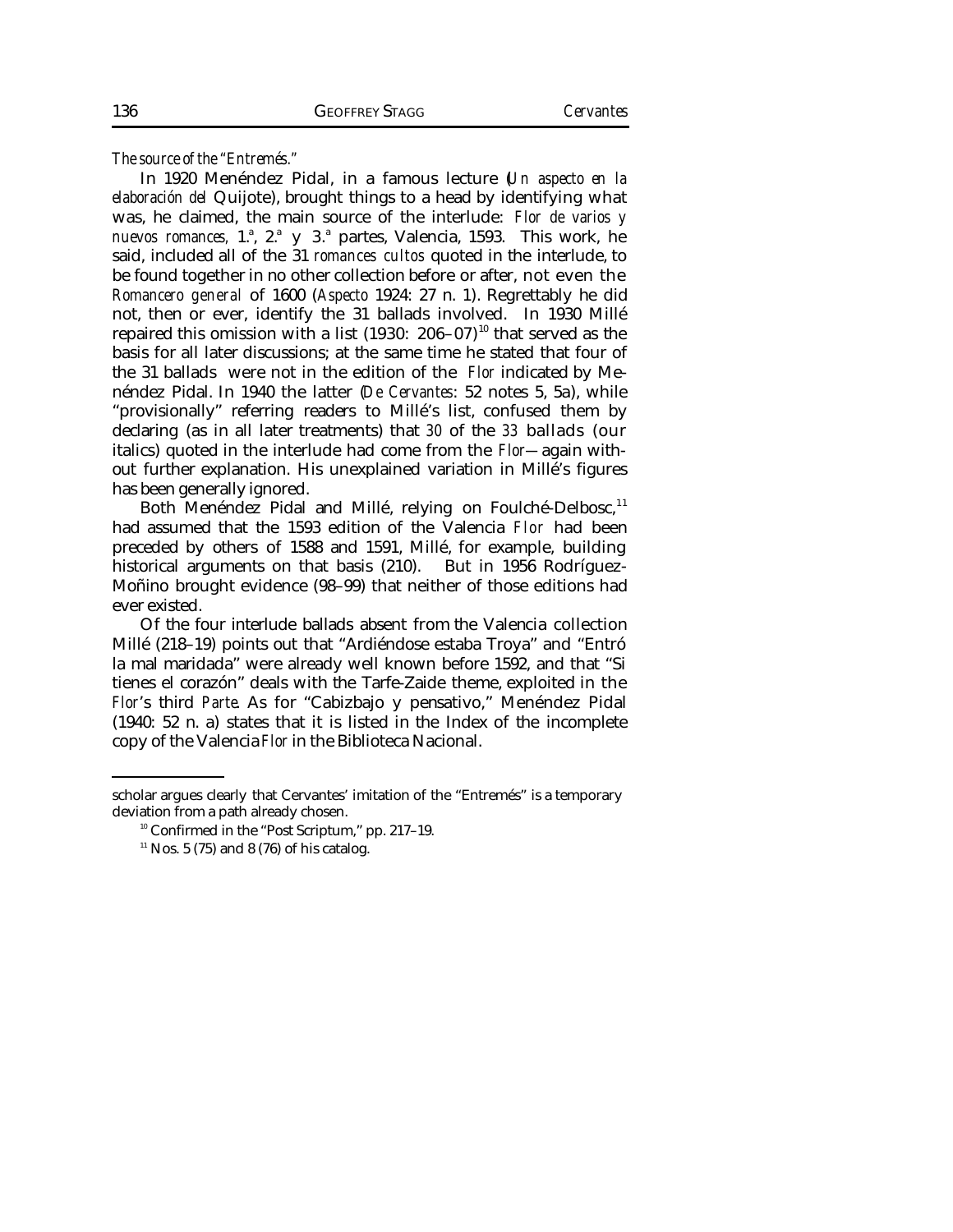*The source of the "Entremés."*

In 1920 Menéndez Pidal, in a famous lecture (*Un aspecto en la elaboración del* Quijote), brought things to a head by identifying what was, he claimed, the main source of the interlude: *Flor de varios y* nuevos romances, 1.ª, 2.ª y 3.ª partes, Valencia, 1593. This work, he said, included all of the 31 *romances cultos* quoted in the interlude, to be found together in no other collection before or after, not even the *Romancero general* of 1600 (*Aspecto* 1924: 27 n. 1). Regrettably he did not, then or ever, identify the 31 ballads involved. In 1930 Millé repaired this omission with a list  $(1930: 206-07)^{10}$  that served as the basis for all later discussions; at the same time he stated that four of the 31 ballads were not in the edition of the *Flor* indicated by Menéndez Pidal. In 1940 the latter (*De Cervantes*: 52 notes 5, 5a), while "provisionally" referring readers to Millé's list, confused them by declaring (as in all later treatments) that *30* of the *33* ballads (our italics) quoted in the interlude had come from the *Flor—*again without further explanation. His unexplained variation in Millé's figures has been generally ignored.

Both Menéndez Pidal and Millé, relying on Foulché-Delbosc,<sup>11</sup> had assumed that the 1593 edition of the Valencia *Flor* had been preceded by others of 1588 and 1591, Millé, for example, building historical arguments on that basis (210). But in 1956 Rodríguez-Moñino brought evidence (98–99) that neither of those editions had ever existed.

Of the four interlude ballads absent from the Valencia collection Millé (218–19) points out that "Ardiéndose estaba Troya" and "Entró la mal maridada" were already well known before 1592, and that "Si tienes el corazón" deals with the Tarfe-Zaide theme, exploited in the *Flor*'s third *Parte*. As for "Cabizbajo y pensativo," Menéndez Pidal (1940: 52 n. a) states that it is listed in the Index of the incomplete copy of the Valencia *Flor* in the Biblioteca Nacional.

scholar argues clearly that Cervantes' imitation of the "Entremés" is a temporary deviation from a path already chosen.

<sup>10</sup> Confirmed in the "Post Scriptum," pp. 217–19.

 $11$  Nos. 5 (75) and 8 (76) of his catalog.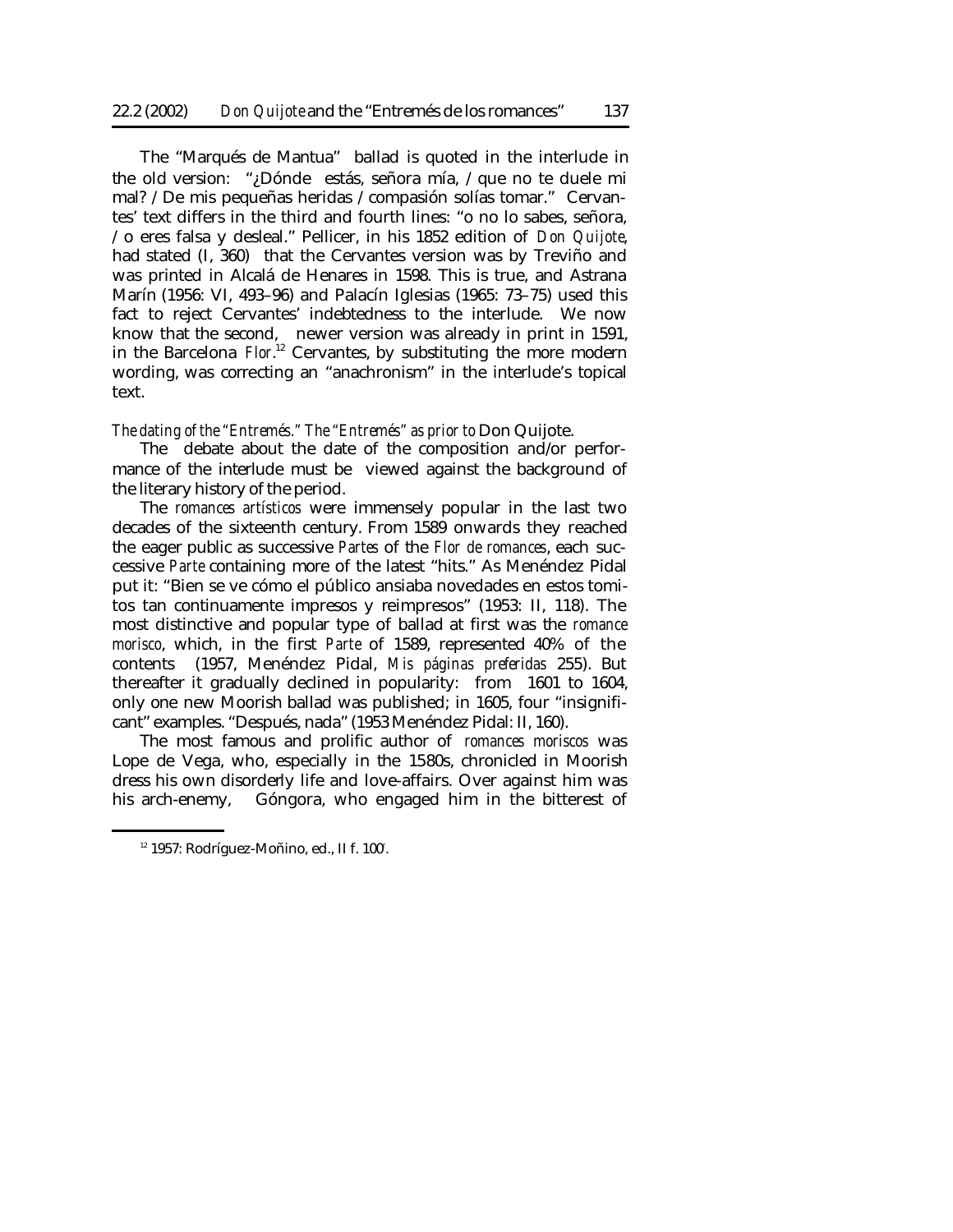The "Marqués de Mantua" ballad is quoted in the interlude in the old version: "¿Dónde estás, señora mía, / que no te duele mi mal? / De mis pequeñas heridas / compasión solías tomar." Cervantes' text differs in the third and fourth lines: "o no lo sabes, señora, / o eres falsa y desleal." Pellicer, in his 1852 edition of *Don Quijote*, had stated (I, 360) that the Cervantes version was by Treviño and was printed in Alcalá de Henares in 1598. This is true, and Astrana Marín (1956: VI, 493–96) and Palacín Iglesias (1965: 73–75) used this fact to reject Cervantes' indebtedness to the interlude. We now know that the second, newer version was already in print in 1591, in the Barcelona *Flor*. <sup>12</sup> Cervantes, by substituting the more modern wording, was correcting an "anachronism" in the interlude's topical text.

*The dating of the "Entremés." The "Entremés" as prior to* Don Quijote.

The debate about the date of the composition and/or performance of the interlude must be viewed against the background of the literary history of the period.

The *romances artísticos* were immensely popular in the last two decades of the sixteenth century. From 1589 onwards they reached the eager public as successive *Partes* of the *Flor de romances*, each successive *Parte* containing more of the latest "hits." As Menéndez Pidal put it: "Bien se ve cómo el público ansiaba novedades en estos tomitos tan continuamente impresos y reimpresos" (1953: II, 118). The most distinctive and popular type of ballad at first was the *romance morisco*, which, in the first *Parte* of 1589, represented 40% of the contents (1957, Menéndez Pidal, *Mis páginas preferidas* 255). But thereafter it gradually declined in popularity: from 1601 to 1604, only one new Moorish ballad was published; in 1605, four "insignificant" examples. "Después, nada" (1953 Menéndez Pidal: II, 160).

The most famous and prolific author of *romances moriscos* was Lope de Vega, who, especially in the 1580s, chronicled in Moorish dress his own disorderly life and love-affairs. Over against him was his arch-enemy, Góngora, who engaged him in the bitterest of

 $12$  1957: Rodríguez-Moñino, ed., II f. 100<sup>r</sup>.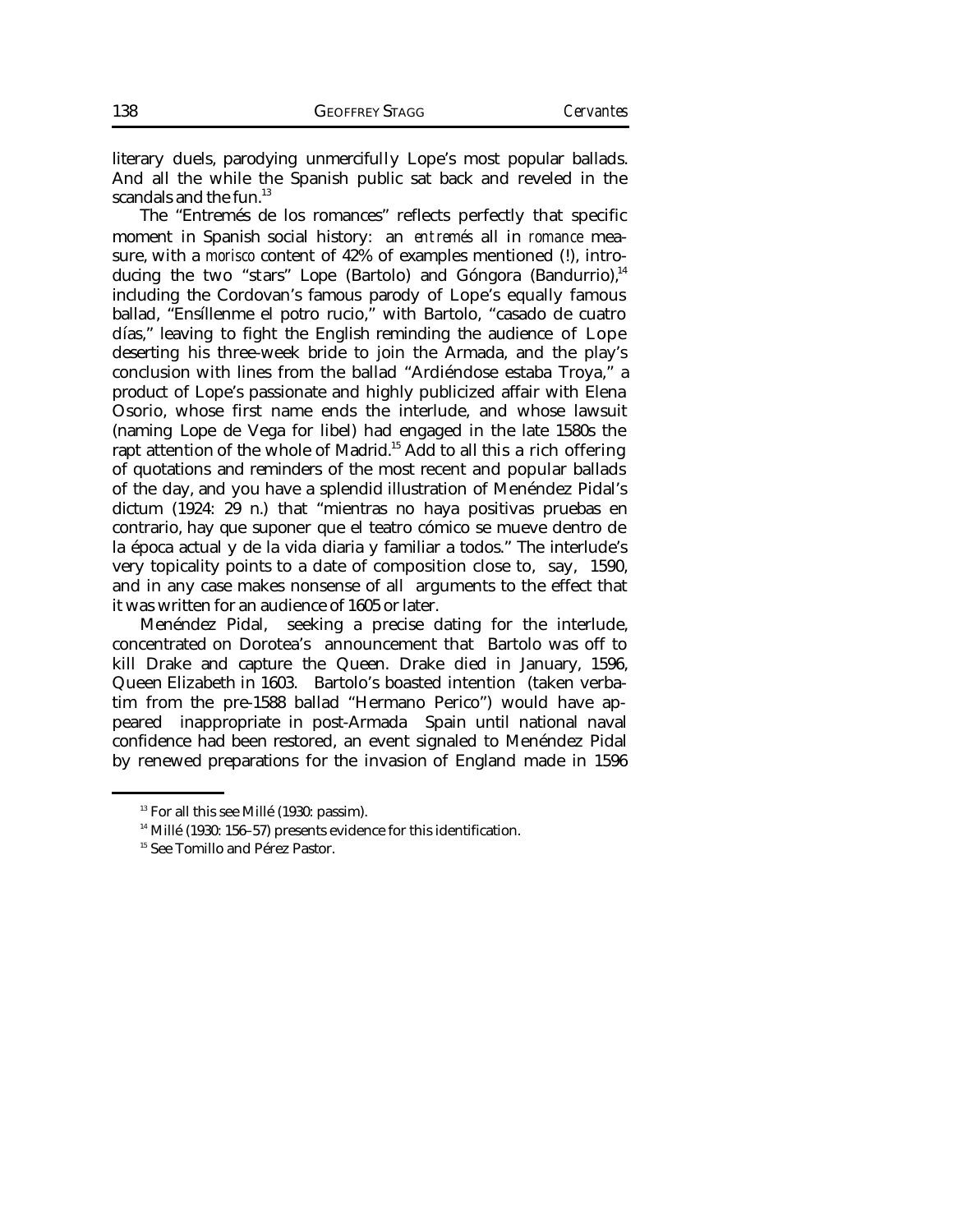literary duels, parodying unmercifully Lope's most popular ballads. And all the while the Spanish public sat back and reveled in the scandals and the fun. $13$ 

The "Entremés de los romances" reflects perfectly that specific moment in Spanish social history: an *entremés* all in *romance* measure, with a *morisco* content of 42% of examples mentioned (!), introducing the two "stars" Lope (Bartolo) and Góngora (Bandurrio).<sup>14</sup> including the Cordovan's famous parody of Lope's equally famous ballad, "Ensíllenme el potro rucio," with Bartolo, "casado de cuatro días," leaving to fight the English reminding the audience of Lope deserting his three-week bride to join the Armada, and the play's conclusion with lines from the ballad "Ardiéndose estaba Troya," a product of Lope's passionate and highly publicized affair with Elena Osorio, whose first name ends the interlude, and whose lawsuit (naming Lope de Vega for libel) had engaged in the late 1580s the rapt attention of the whole of Madrid.<sup>15</sup> Add to all this a rich offering of quotations and reminders of the most recent and popular ballads of the day, and you have a splendid illustration of Menéndez Pidal's dictum (1924: 29 n.) that "mientras no haya positivas pruebas en contrario, hay que suponer que el teatro cómico se mueve dentro de la época actual y de la vida diaria y familiar a todos." The interlude's very topicality points to a date of composition close to, say, 1590, and in any case makes nonsense of all arguments to the effect that it was written for an audience of 1605 or later.

seeking a precise dating for the interlude, concentrated on Dorotea's announcement that Bartolo was off to kill Drake and capture the Queen. Drake died in January, 1596, Queen Elizabeth in 1603. Bartolo's boasted intention (taken verbatim from the pre-1588 ballad "Hermano Perico") would have appeared inappropriate in post-Armada Spain until national naval confidence had been restored, an event signaled to Menéndez Pidal by renewed preparations for the invasion of England made in 1596

<sup>&</sup>lt;sup>13</sup> For all this see Millé (1930: passim).

<sup>&</sup>lt;sup>14</sup> Millé (1930: 156-57) presents evidence for this identification.

<sup>&</sup>lt;sup>15</sup> See Tomillo and Pérez Pastor.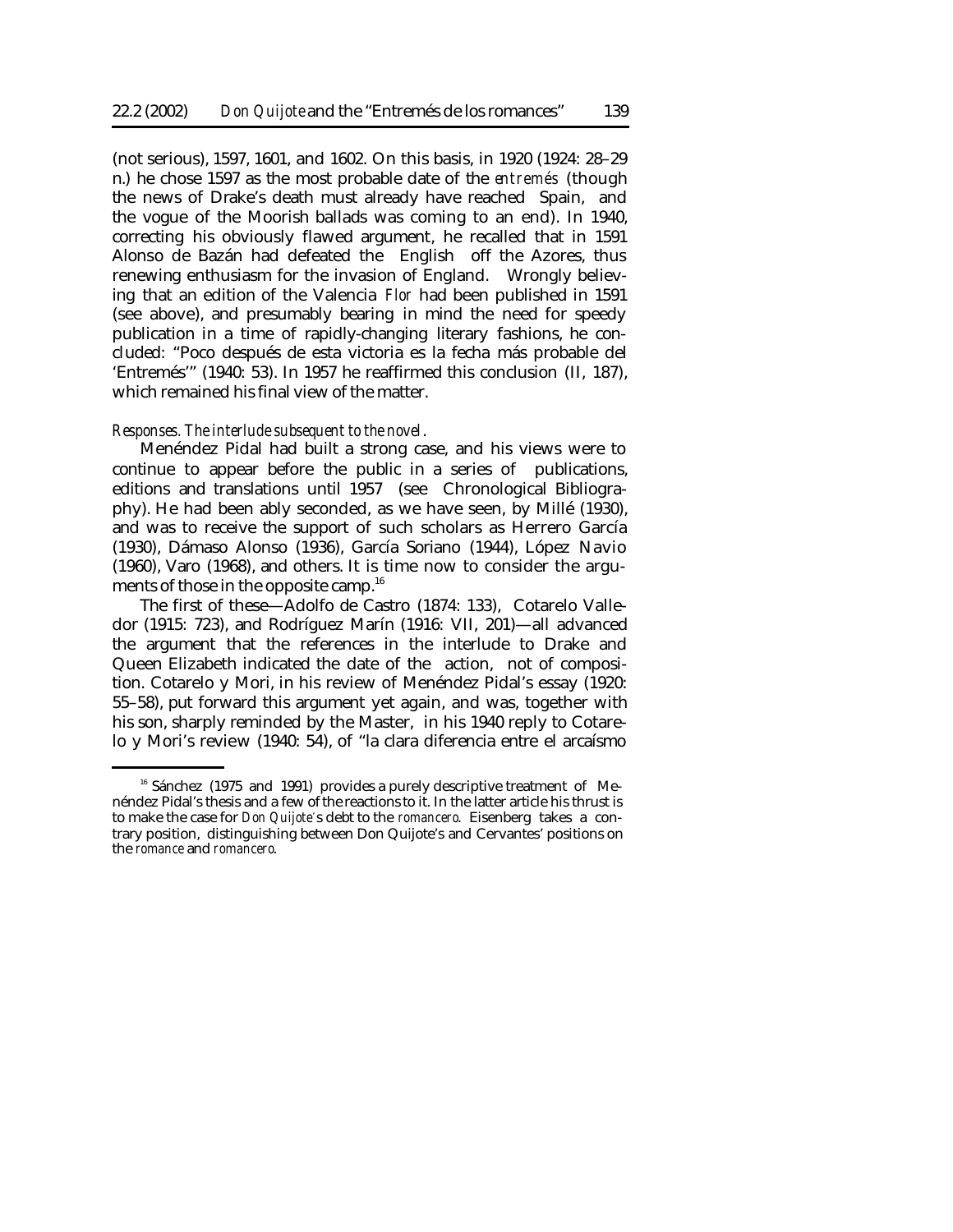(not serious), 1597, 1601, and 1602. On this basis, in 1920 (1924: 28–29 n.) he chose 1597 as the most probable date of the *entremés* (though the news of Drake's death must already have reached Spain, and the vogue of the Moorish ballads was coming to an end). In 1940, correcting his obviously flawed argument, he recalled that in 1591 Alonso de Bazán had defeated the English off the Azores, thus renewing enthusiasm for the invasion of England. Wrongly believing that an edition of the Valencia *Flor* had been published in 1591 (see above), and presumably bearing in mind the need for speedy publication in a time of rapidly-changing literary fashions, he concluded: "Poco después de esta victoria es la fecha más probable del 'Entremés'" (1940: 53). In 1957 he reaffirmed this conclusion (II, 187), which remained his final view of the matter.

#### *Responses. The interlude subsequent to the novel*.

Menéndez Pidal had built a strong case, and his views were to continue to appear before the public in a series of publications, editions and translations until 1957 (see Chronological Bibliography). He had been ably seconded, as we have seen, by Millé (1930), and was to receive the support of such scholars as Herrero García (1930), Dámaso Alonso (1936), García Soriano (1944), López Navio (1960), Varo (1968), and others. It is time now to consider the arguments of those in the opposite camp.<sup>16</sup>

The first of these—Adolfo de Castro (1874: 133), Cotarelo Valledor (1915: 723), and Rodríguez Marín (1916: VII, 201)—all advanced the argument that the references in the interlude to Drake and Queen Elizabeth indicated the date of the action, not of composition. Cotarelo y Mori, in his review of Menéndez Pidal's essay (1920: 55–58), put forward this argument yet again, and was, together with his son, sharply reminded by the Master, in his 1940 reply to Cotarelo y Mori's review (1940: 54), of "la clara diferencia entre el arcaísmo

<sup>&</sup>lt;sup>16</sup> Sánchez (1975 and 1991) provides a purely descriptive treatment of Menéndez Pidal's thesis and a few ofthe reactions to it. In the latter article his thrust is to make the case for *Don Quijote*'s debt to the *romancero*. Eisenberg takes a contrary position, distinguishing between Don Quijote's and Cervantes' positions on the *romance* and *romancero*.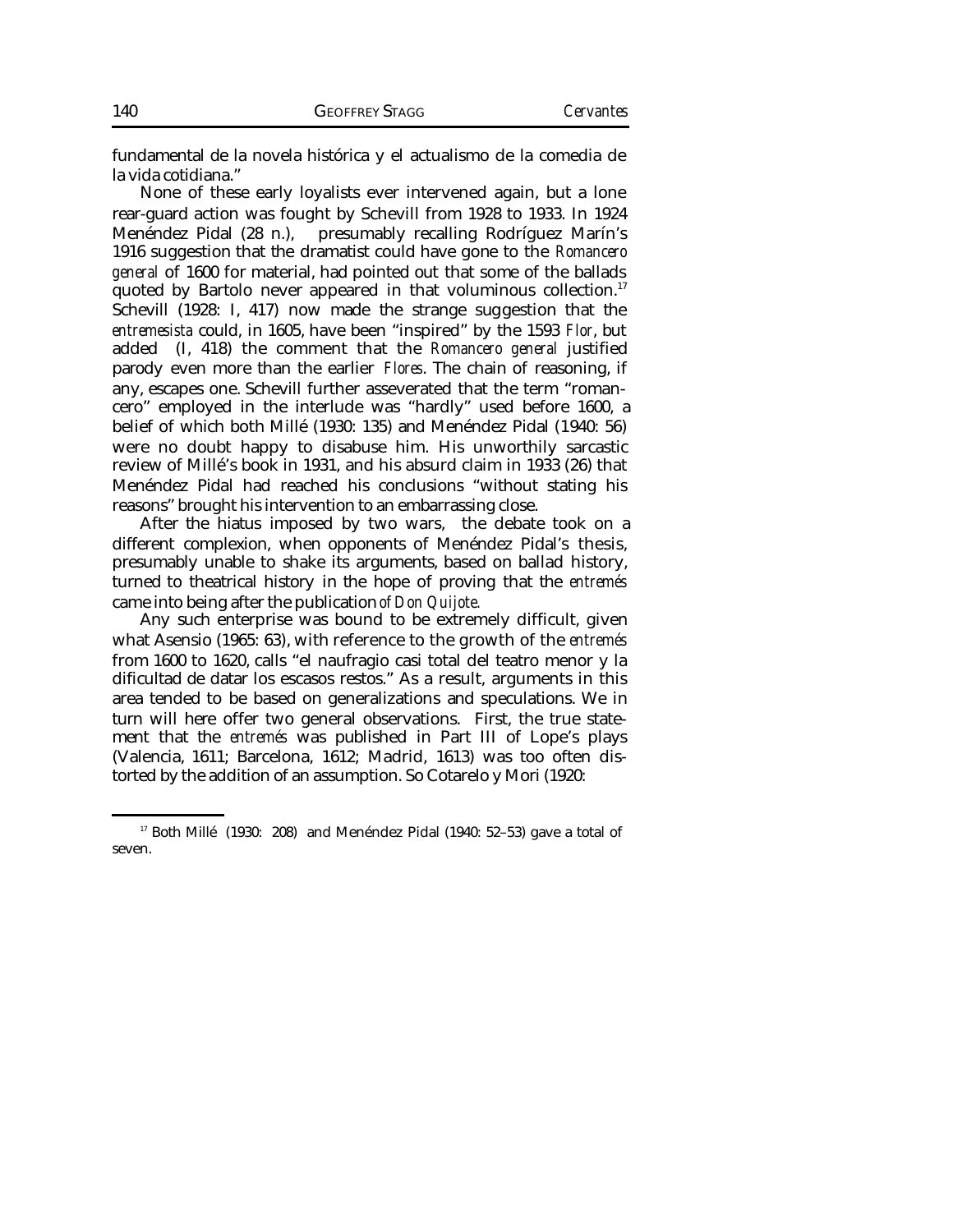fundamental de la novela histórica y el actualismo de la comedia de la vida cotidiana."

None of these early loyalists ever intervened again, but a lone rear-guard action was fought by Schevill from 1928 to 1933. In 1924 Menéndez Pidal (28 n.), presumably recalling Rodríguez Marín's 1916 suggestion that the dramatist could have gone to the *Romancero general* of 1600 for material, had pointed out that some of the ballads quoted by Bartolo never appeared in that voluminous collection.<sup>17</sup> Schevill (1928: I, 417) now made the strange suggestion that the *entremesista* could, in 1605, have been "inspired" by the 1593 *Flor*, but added (I, 418) the comment that the *Romancero general* justified parody even more than the earlier *Flores*. The chain of reasoning, if any, escapes one. Schevill further asseverated that the term "romancero" employed in the interlude was "hardly" used before 1600, a belief of which both Millé (1930: 135) and Menéndez Pidal (1940: 56) were no doubt happy to disabuse him. His unworthily sarcastic review of Millé's book in 1931, and his absurd claim in 1933 (26) that Menéndez Pidal had reached his conclusions "without stating his reasons" brought his intervention to an embarrassing close.

After the hiatus imposed by two wars, the debate took on a different complexion, when opponents of Menéndez Pidal's thesis, presumably unable to shake its arguments, based on ballad history, turned to theatrical history in the hope of proving that the *entremés* came into being after the publication *of Don Quijote.*

Any such enterprise was bound to be extremely difficult, given what Asensio (1965: 63), with reference to the growth of the *entremés* from 1600 to 1620, calls "el naufragio casi total del teatro menor y la dificultad de datar los escasos restos." As a result, arguments in this area tended to be based on generalizations and speculations. We in turn will here offer two general observations. First, the true statement that the *entremés* was published in Part III of Lope's plays (Valencia, 1611; Barcelona, 1612; Madrid, 1613) was too often distorted by the addition of an assumption. So Cotarelo y Mori (1920:

 $17$  Both Millé (1930: 208) and Menéndez Pidal (1940: 52–53) gave a total of seven.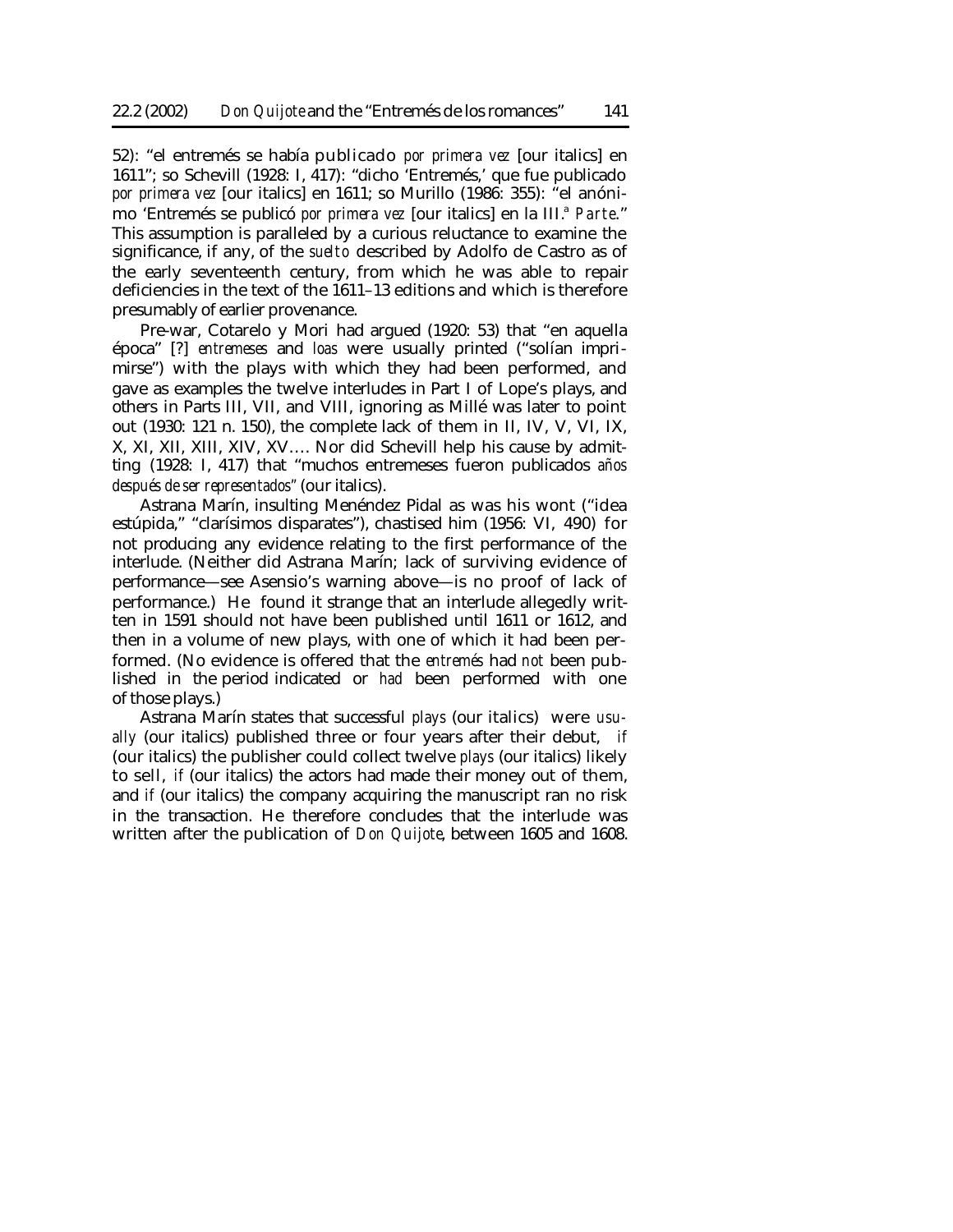52): "el entremés se había publicado *por primera vez* [our italics] en 1611"; so Schevill (1928: I, 417): "dicho 'Entremés,' que fue publicado *por primera vez* [our italics] en 1611; so Murillo (1986: 355): "el anónimo 'Entremés se publicó *por primera vez* [our italics] en la III.<sup>a</sup> *Parte*." This assumption is paralleled by a curious reluctance to examine the significance, if any, of the *suelto* described by Adolfo de Castro as of the early seventeenth century, from which he was able to repair deficiencies in the text of the 1611–13 editions and which is therefore presumably of earlier provenance.

Pre-war, Cotarelo y Mori had argued (1920: 53) that "en aquella época" [?] *entremeses* and *loas* were usually printed ("solían imprimirse") with the plays with which they had been performed, and gave as examples the twelve interludes in Part I of Lope's plays, and others in Parts III, VII, and VIII, ignoring as Millé was later to point out (1930: 121 n. 150), the complete lack of them in II, IV, V, VI, IX, X, XI, XII, XIII, XIV, XV…. Nor did Schevill help his cause by admitting (1928: I, 417) that "muchos entremeses fueron publicados *años después de ser representados"* (our italics).

Astrana Marín, insulting Menéndez Pidal as was his wont ("idea estúpida," "clarísimos disparates"), chastised him (1956: VI, 490) for not producing any evidence relating to the first performance of the interlude. (Neither did Astrana Marín; lack of surviving evidence of performance—see Asensio's warning above—is no proof of lack of performance.) He found it strange that an interlude allegedly written in 1591 should not have been published until 1611 or 1612, and then in a volume of new plays, with one of which it had been performed. (No evidence is offered that the *entremés* had *not* been published in the period indicated or *had* been performed with one of those plays.)

Astrana Marín states that successful *plays* (our italics) were *usually* (our italics) published three or four years after their debut, *if* (our italics) the publisher could collect twelve *plays* (our italics) likely to sell, *if* (our italics) the actors had made their money out of them, and *if* (our italics) the company acquiring the manuscript ran no risk in the transaction. He therefore concludes that the interlude was written after the publication of *Don Quijote*, between 1605 and 1608.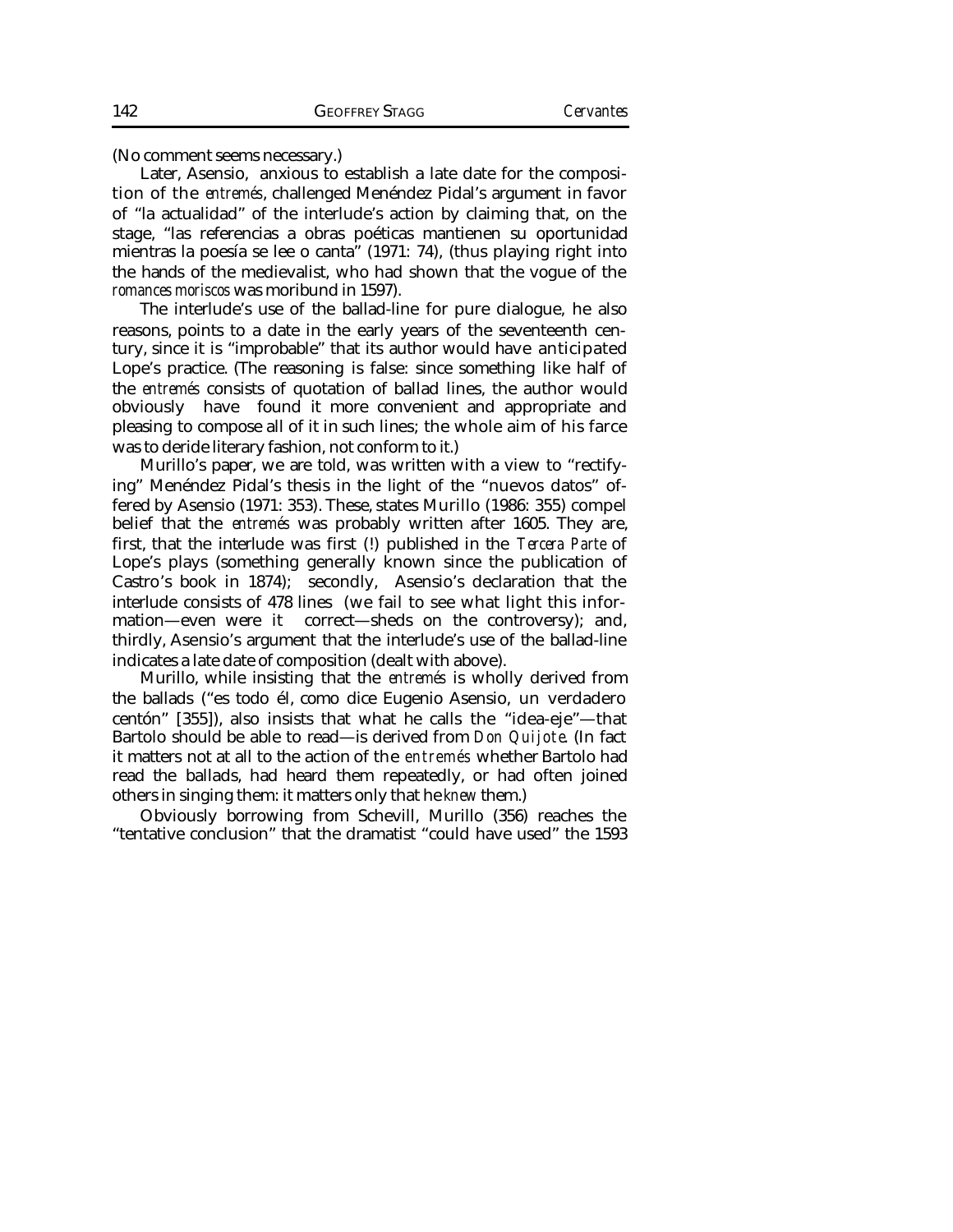(No comment seems necessary.)

Later, Asensio, anxious to establish a late date for the composition of the *entremés*, challenged Menéndez Pidal's argument in favor of "la actualidad" of the interlude's action by claiming that, on the stage, "las referencias a obras poéticas mantienen su oportunidad mientras la poesía se lee o canta" (1971: 74), (thus playing right into the hands of the medievalist, who had shown that the vogue of the *romances moriscos* was moribund in 1597).

The interlude's use of the ballad-line for pure dialogue, he also reasons, points to a date in the early years of the seventeenth century, since it is "improbable" that its author would have anticipated Lope's practice. (The reasoning is false: since something like half of the *entremés* consists of quotation of ballad lines, the author would obviously have found it more convenient and appropriate and pleasing to compose all of it in such lines; the whole aim of his farce was to deride literary fashion, not conform to it.)

Murillo's paper, we are told, was written with a view to "rectifying" Menéndez Pidal's thesis in the light of the "nuevos datos" offered by Asensio (1971: 353). These, states Murillo (1986: 355) compel belief that the *entremés* was probably written after 1605. They are, first, that the interlude was first (!) published in the *Tercera Parte* of Lope's plays (something generally known since the publication of Castro's book in 1874); secondly, Asensio's declaration that the interlude consists of 478 lines (we fail to see what light this information—even were it correct—sheds on the controversy); and, thirdly, Asensio's argument that the interlude's use of the ballad-line indicates a late date of composition (dealt with above).

Murillo, while insisting that the *entremés* is wholly derived from the ballads ("es todo él, como dice Eugenio Asensio, un verdadero centón" [355]), also insists that what he calls the "idea-eje"—that Bartolo should be able to read—is derived from *Don Quijote*. (In fact it matters not at all to the action of the *entremés* whether Bartolo had read the ballads, had heard them repeatedly, or had often joined others in singing them: it matters only that he *knew* them.)

Obviously borrowing from Schevill, Murillo (356) reaches the "tentative conclusion" that the dramatist "could have used" the 1593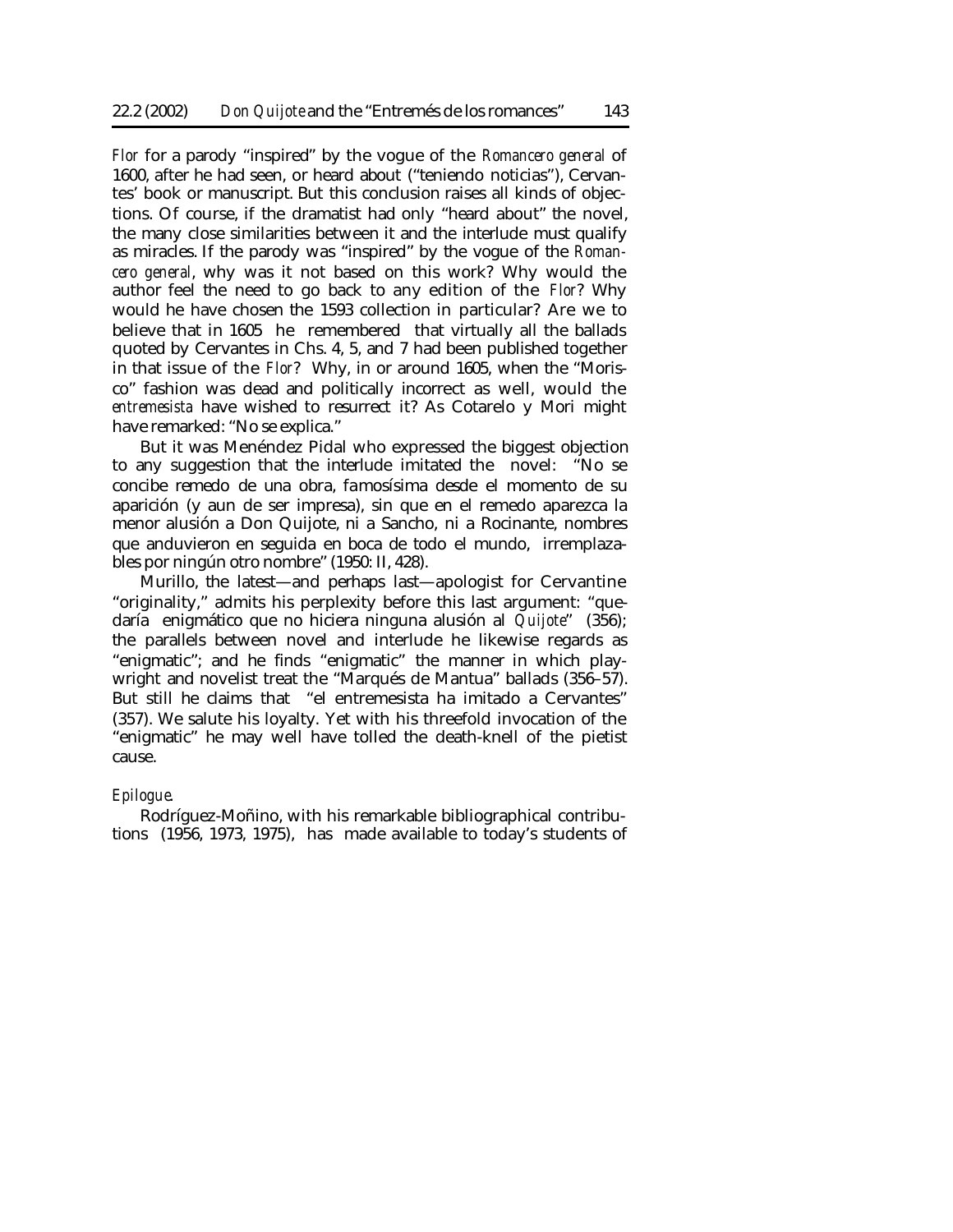*Flor* for a parody "inspired" by the vogue of the *Romancero general* of 1600, after he had seen, or heard about ("teniendo noticias"), Cervantes' book or manuscript. But this conclusion raises all kinds of objections. Of course, if the dramatist had only "heard about" the novel, the many close similarities between it and the interlude must qualify as miracles. If the parody was "inspired" by the vogue of the *Romancero general*, why was it not based on this work? Why would the author feel the need to go back to any edition of the *Flor*? Why would he have chosen the 1593 collection in particular? Are we to believe that in 1605 he remembered that virtually all the ballads quoted by Cervantes in Chs. 4, 5, and 7 had been published together in that issue of the *Flor*? Why, in or around 1605, when the "Morisco" fashion was dead and politically incorrect as well, would the *entremesista* have wished to resurrect it? As Cotarelo y Mori might have remarked: "No se explica."

But it was Menéndez Pidal who expressed the biggest objection to any suggestion that the interlude imitated the novel: "No se concibe remedo de una obra, famosísima desde el momento de su aparición (y aun de ser impresa), sin que en el remedo aparezca la menor alusión a Don Quijote, ni a Sancho, ni a Rocinante, nombres que anduvieron en seguida en boca de todo el mundo, irremplazables por ningún otro nombre" (1950: II, 428).

Murillo, the latest—and perhaps last—apologist for Cervantine "originality," admits his perplexity before this last argument: "quedaría enigmático que no hiciera ninguna alusión al *Quijote*" (356); the parallels between novel and interlude he likewise regards as "enigmatic"; and he finds "enigmatic" the manner in which playwright and novelist treat the "Marqués de Mantua" ballads (356–57). But still he claims that "el entremesista ha imitado a Cervantes" (357). We salute his loyalty. Yet with his threefold invocation of the "enigmatic" he may well have tolled the death-knell of the pietist cause.

# *Epilogue*.

Rodríguez-Moñino, with his remarkable bibliographical contributions (1956, 1973, 1975), has made available to today's students of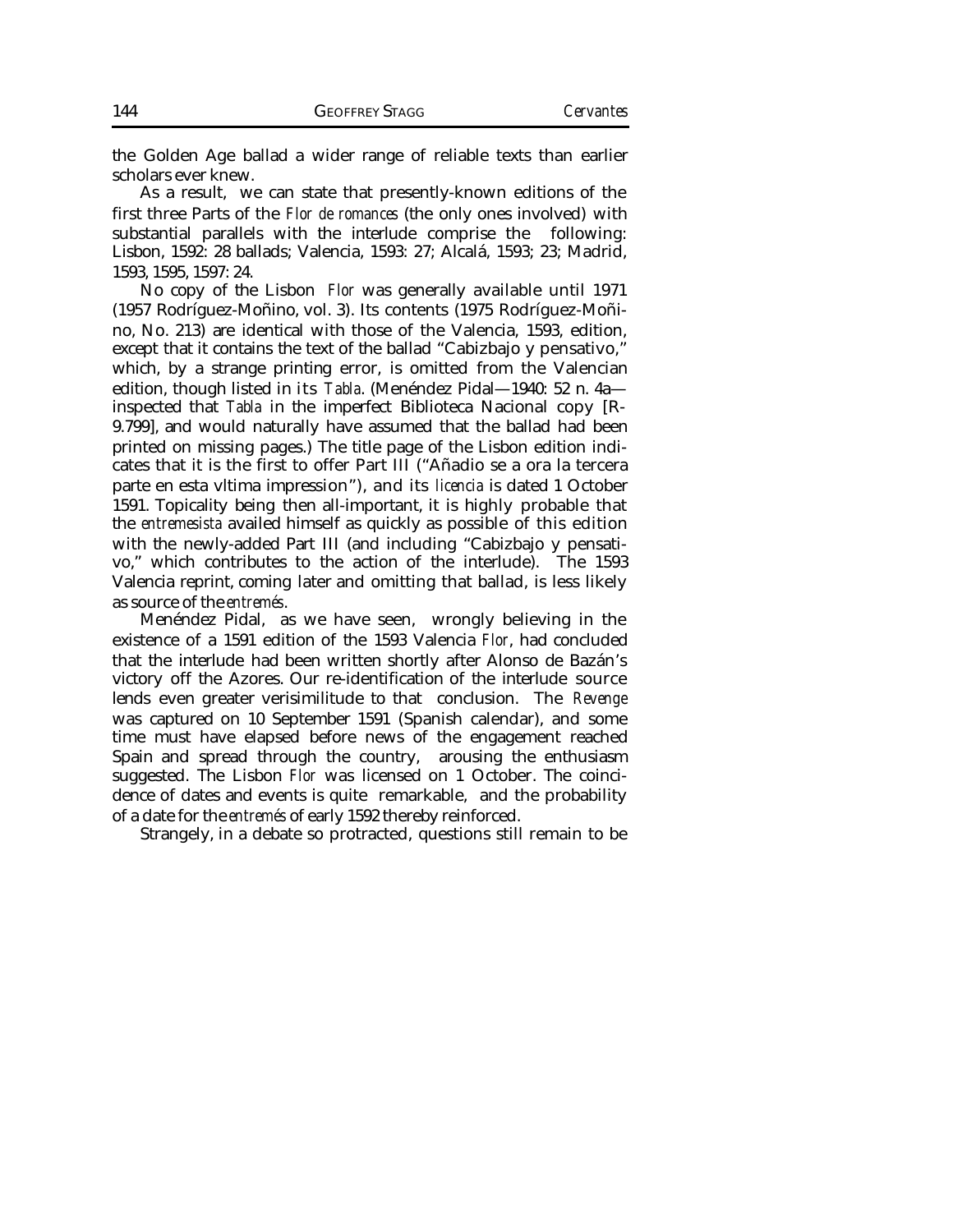the Golden Age ballad a wider range of reliable texts than earlier scholars ever knew.

As a result, we can state that presently-known editions of the first three Parts of the *Flor de romances* (the only ones involved) with substantial parallels with the interlude comprise the following: Lisbon, 1592: 28 ballads; Valencia, 1593: 27; Alcalá, 1593; 23; Madrid, 1593, 1595, 1597: 24.

No copy of the Lisbon *Flor* was generally available until 1971 (1957 Rodríguez-Moñino, vol. 3). Its contents (1975 Rodríguez-Moñino, No. 213) are identical with those of the Valencia, 1593, edition, except that it contains the text of the ballad "Cabizbajo y pensativo," which, by a strange printing error, is omitted from the Valencian edition, though listed in its *Tabla*. (Menéndez Pidal—1940: 52 n. 4a inspected that *Tabla* in the imperfect Biblioteca Nacional copy [R-9.799], and would naturally have assumed that the ballad had been printed on missing pages.) The title page of the Lisbon edition indicates that it is the first to offer Part III ("Añadio se a ora la tercera parte en esta vltima impression"), and its *licencia* is dated 1 October 1591. Topicality being then all-important, it is highly probable that the *entremesista* availed himself as quickly as possible of this edition with the newly-added Part III (and including "Cabizbajo y pensativo," which contributes to the action of the interlude). The 1593 Valencia reprint, coming later and omitting that ballad, is less likely as source of the *entremés*.

Menéndez Pidal, as we have seen, wrongly believing in the existence of a 1591 edition of the 1593 Valencia *Flor*, had concluded that the interlude had been written shortly after Alonso de Bazán's victory off the Azores. Our re-identification of the interlude source lends even greater verisimilitude to that conclusion. The *Revenge* was captured on 10 September 1591 (Spanish calendar), and some time must have elapsed before news of the engagement reached Spain and spread through the country, arousing the enthusiasm suggested. The Lisbon *Flor* was licensed on 1 October. The coincidence of dates and events is quite remarkable, and the probability of a date for the *entremés* of early 1592 thereby reinforced.

Strangely, in a debate so protracted, questions still remain to be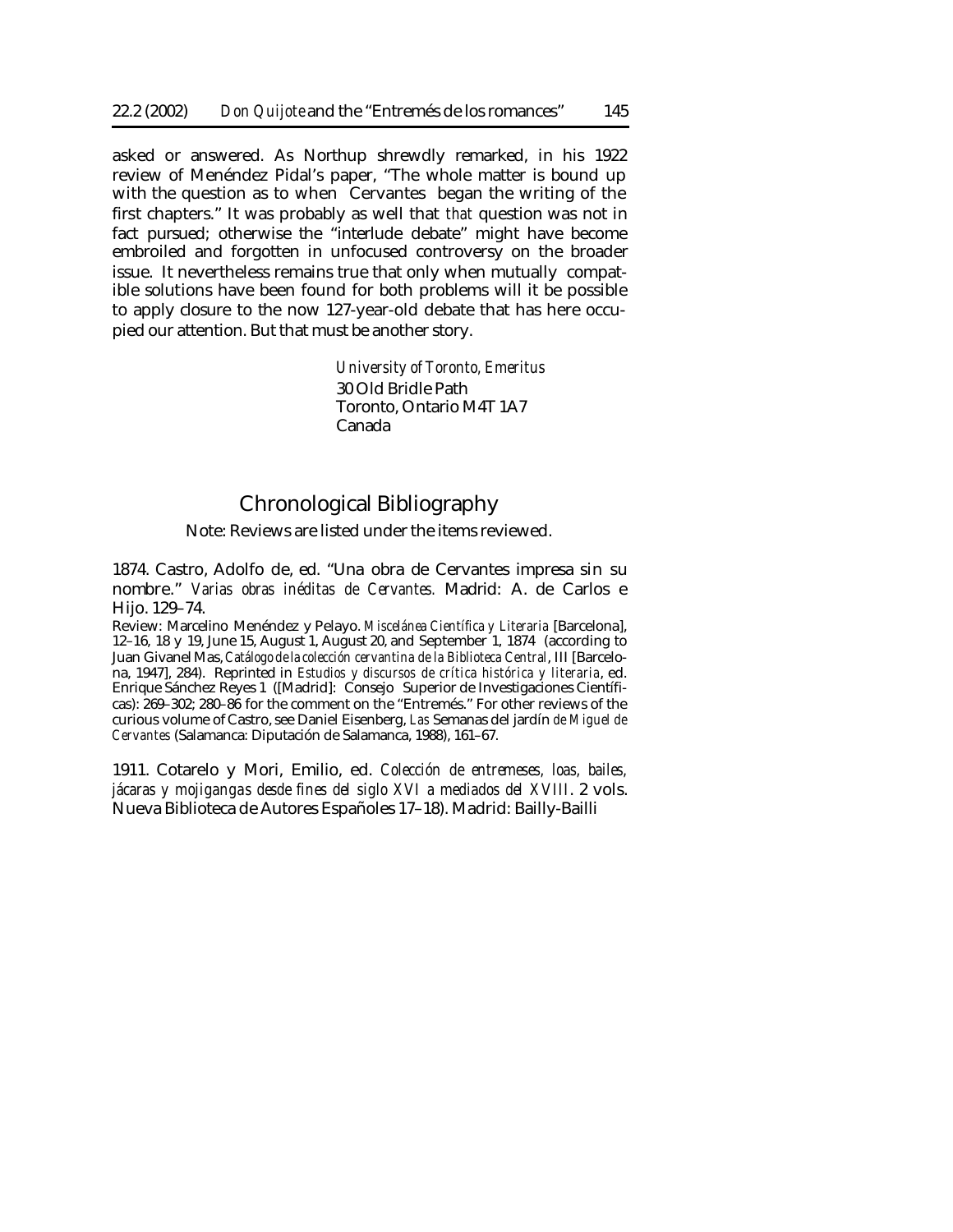asked or answered. As Northup shrewdly remarked, in his 1922 review of Menéndez Pidal's paper, "The whole matter is bound up with the question as to when Cervantes began the writing of the first chapters." It was probably as well that *that* question was not in fact pursued; otherwise the "interlude debate" might have become embroiled and forgotten in unfocused controversy on the broader issue. It nevertheless remains true that only when mutually compatible solutions have been found for both problems will it be possible to apply closure to the now 127-year-old debate that has here occupied our attention. But that must be another story.

> *University of Toronto, Emeritus* 30 Old Bridle Path Toronto, Ontario M4T 1A7 Canada

# Chronological Bibliography

# Note: Reviews are listed under the items reviewed.

1874. Castro, Adolfo de, ed. "Una obra de Cervantes impresa sin su nombre." *Varias obras inéditas de Cervantes.* Madrid: A. de Carlos e Hijo. 129–74.

Review: Marcelino Menéndez y Pelayo. *Miscelánea Científica y Literaria* [Barcelona], 12–16, 18 y 19, June 15, August 1, August 20, and September 1, 1874 (according to Juan Givanel Mas, *Catálogo dela colección cervantina de la Biblioteca Central*, III [Barcelona, 1947], 284). Reprinted in *Estudios y discursos de crítica histórica y literaria*, ed. Enrique Sánchez Reyes 1 ([Madrid]: Consejo Superior de Investigaciones Científicas): 269–302; 280–86 for the comment on the "Entremés." For other reviews of the curious volume of Castro, see Daniel Eisenberg, *Las* Semanas del jardín *de Miguel de Cervantes* (Salamanca: Diputación de Salamanca, 1988), 161–67.

1911. Cotarelo y Mori, Emilio, ed. *Colección de entremeses, loas, bailes, jácaras y mojigangas desde fines del siglo XVI a mediados del XVIII*. 2 vols. Nueva Biblioteca de Autores Españoles 17–18). Madrid: Bailly-Bailli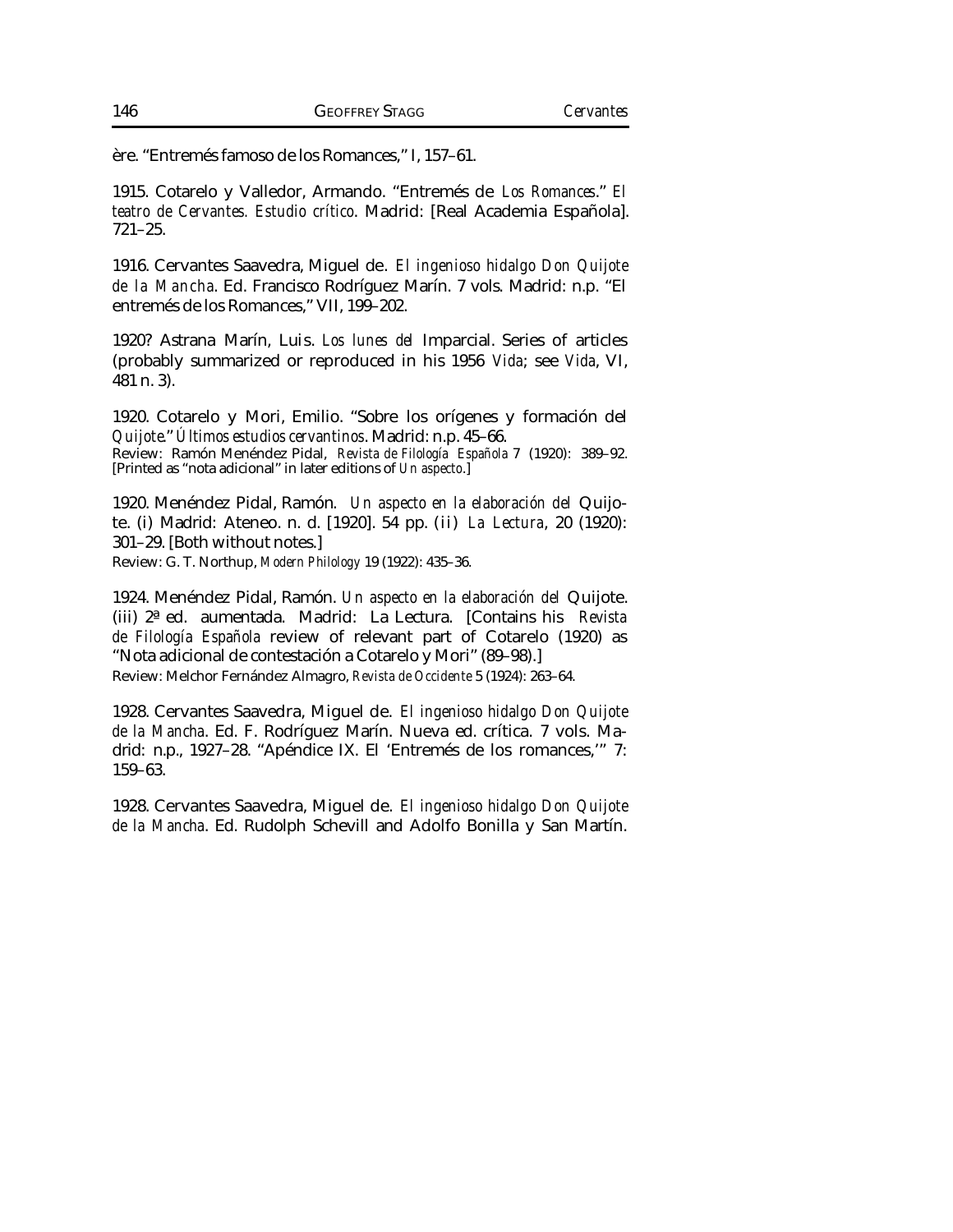ère. "Entremés famoso de los Romances," I, 157–61.

1915. Cotarelo y Valledor, Armando. "Entremés de *Los Romances*." *El teatro de Cervantes. Estudio crítico*. Madrid: [Real Academia Española]. 721–25.

1916. Cervantes Saavedra, Miguel de. *El ingenioso hidalgo Don Quijote de la Mancha*. Ed. Francisco Rodríguez Marín. 7 vols. Madrid: n.p. "El entremés de los Romances," VII, 199–202.

1920? Astrana Marín, Luis. *Los lunes del* Imparcial. Series of articles (probably summarized or reproduced in his 1956 *Vida*; see *Vida*, VI, 481 n. 3).

1920. Cotarelo y Mori, Emilio. "Sobre los orígenes y formación del *Quijote*." *Últimos estudios cervantinos*. Madrid: n.p. 45–66. Review: Ramón Menéndez Pidal, *Revista de Filología Española* 7 (1920): 389–92. [Printed as "nota adicional" in later editions of *Un aspecto*.]

1920. Menéndez Pidal, Ramón. *Un aspecto en la elaboración del* Quijote. (i) Madrid: Ateneo. n. d. [1920]. 54 pp. (ii) *La Lectura*, 20 (1920): 301–29. [Both without notes.]

Review: G. T. Northup, *Modern Philology* 19 (1922): 435–36.

1924. Menéndez Pidal, Ramón. *Un aspecto en la elaboración del* Quijote. (iii) 2ª ed. aumentada. Madrid: La Lectura. [Contains his *Revista de Filología Española* review of relevant part of Cotarelo (1920) as "Nota adicional de contestación a Cotarelo y Mori" (89–98).] Review: Melchor Fernández Almagro, *Revista de Occidente* 5 (1924): 263–64.

1928. Cervantes Saavedra, Miguel de. *El ingenioso hidalgo Don Quijote de la Mancha*. Ed. F. Rodríguez Marín. Nueva ed. crítica. 7 vols. Madrid: n.p., 1927–28. "Apéndice IX. El 'Entremés de los romances,'" 7: 159–63.

1928. Cervantes Saavedra, Miguel de. *El ingenioso hidalgo Don Quijote de la Mancha*. Ed. Rudolph Schevill and Adolfo Bonilla y San Martín.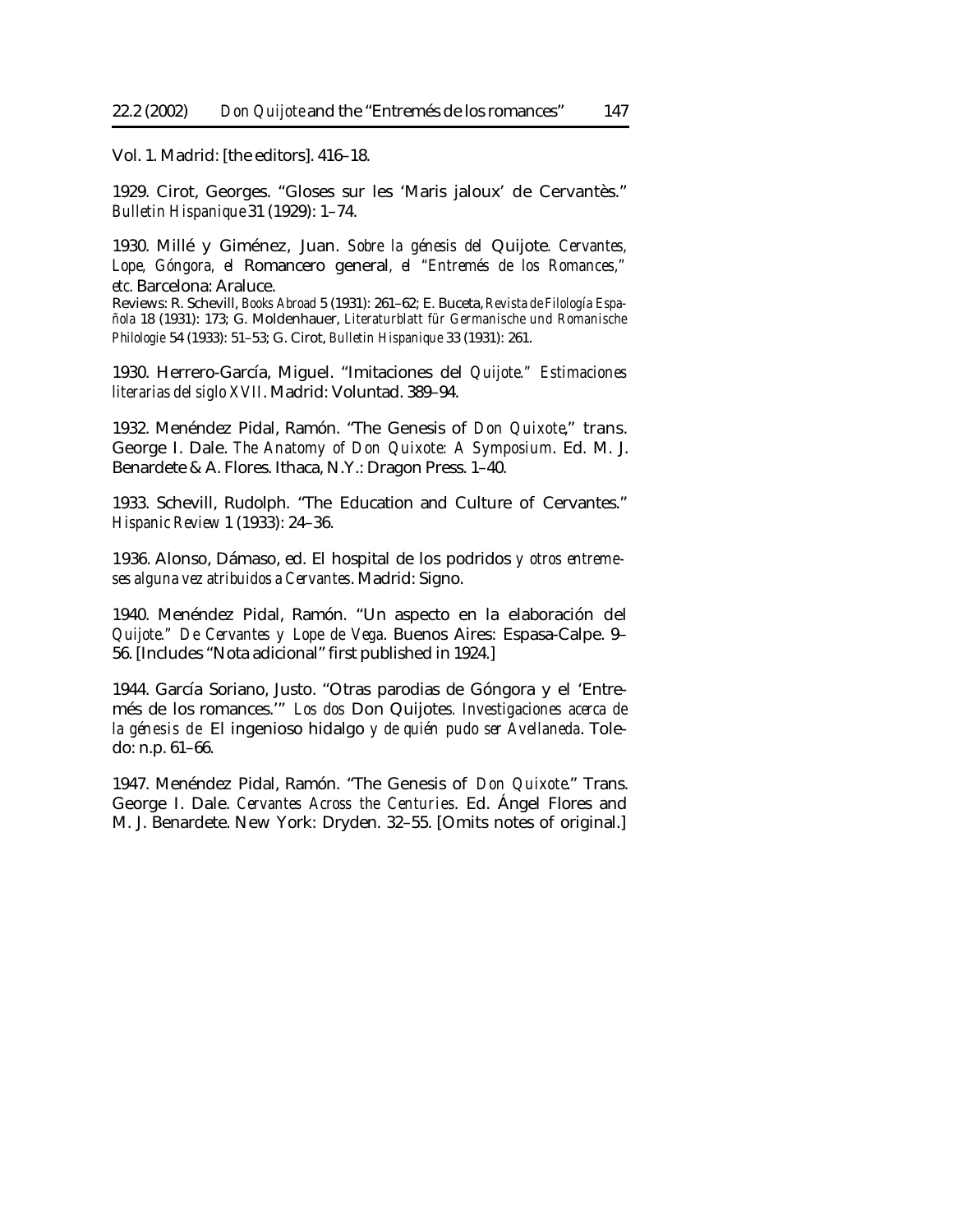Vol. 1. Madrid: [the editors]. 416–18.

1929. Cirot, Georges. "Gloses sur les 'Maris jaloux' de Cervantès." *Bulletin Hispanique* 31 (1929): 1–74.

1930. Millé y Giménez, Juan. *Sobre la génesis del* Quijote*. Cervantes, Lope, Góngora, el* Romancero general*, el "Entremés de los Romances," etc.* Barcelona: Araluce.

Reviews: R. Schevill, *Books Abroad* 5 (1931): 261–62; E. Buceta, *Revista de Filología Española* 18 (1931): 173; G. Moldenhauer, *Literaturblatt für Germanische und Romanische Philologie* 54 (1933): 51–53; G. Cirot, *Bulletin Hispanique* 33 (1931): 261.

1930. Herrero-García, Miguel. "Imitaciones del *Quijote." Estimaciones literarias del siglo XVII*. Madrid: Voluntad. 389–94.

1932. Menéndez Pidal, Ramón. "The Genesis of *Don Quixote*," trans. George I. Dale. *The Anatomy of Don Quixote: A Symposium*. Ed. M. J. Benardete & A. Flores. Ithaca, N.Y.: Dragon Press. 1–40.

1933. Schevill, Rudolph. "The Education and Culture of Cervantes." *Hispanic Review* 1 (1933): 24–36.

1936. Alonso, Dámaso, ed. El hospital de los podridos *y otros entremeses alguna vez atribuidos a Cervantes*. Madrid: Signo.

1940. Menéndez Pidal, Ramón. "Un aspecto en la elaboración del *Quijote." De Cervantes y Lope de Vega*. Buenos Aires: Espasa-Calpe. 9– 56. [Includes "Nota adicional" first published in 1924.]

1944. García Soriano, Justo. "Otras parodias de Góngora y el 'Entremés de los romances.'" *Los dos* Don Quijote*s. Investigaciones acerca de la génesis de* El ingenioso hidalgo *y de quién pudo ser Avellaneda*. Toledo: n.p. 61–66.

1947. Menéndez Pidal, Ramón. "The Genesis of *Don Quixote*." Trans. George I. Dale. *Cervantes Across the Centuries*. Ed. Ángel Flores and M. J. Benardete. New York: Dryden. 32–55. [Omits notes of original.]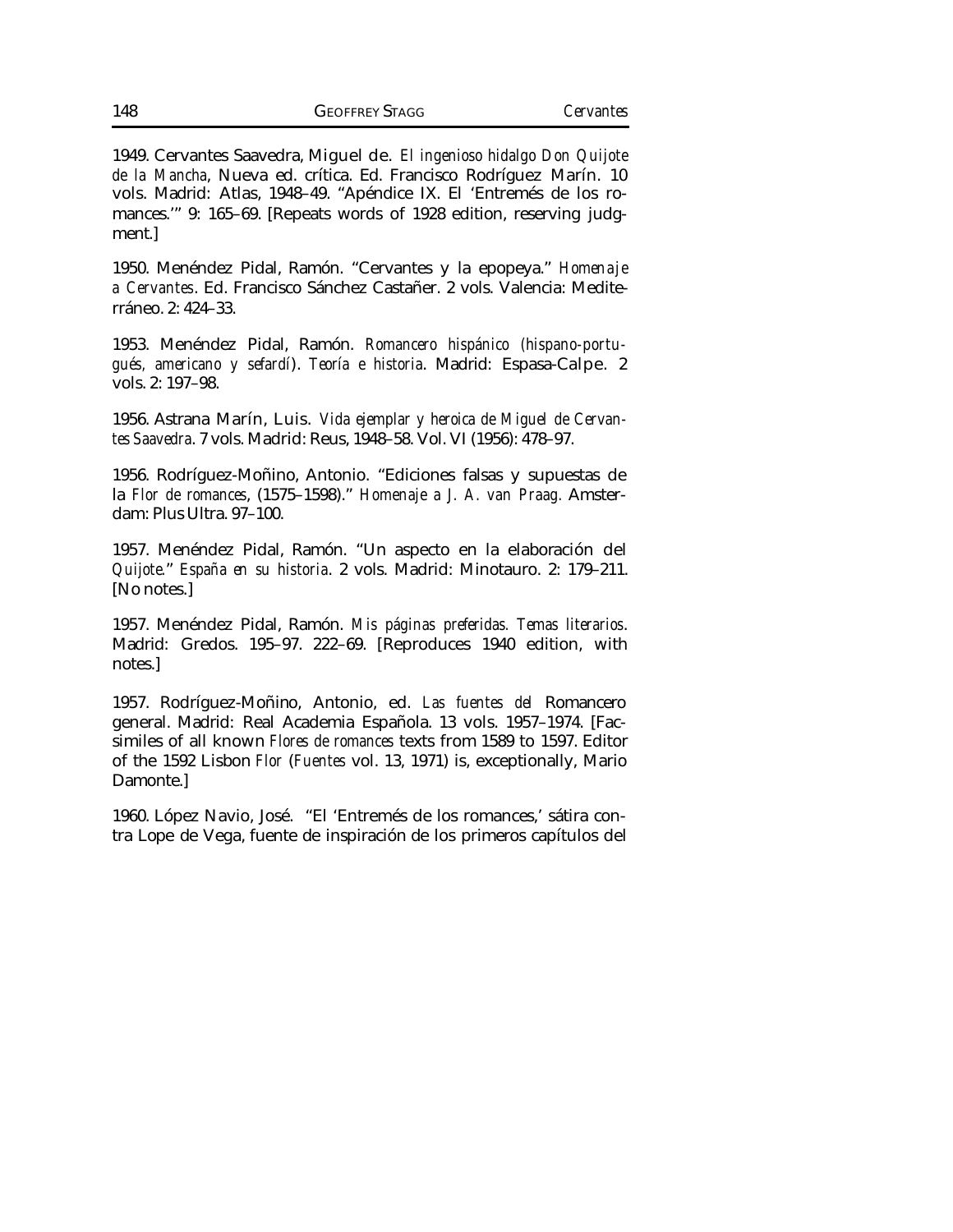1949. Cervantes Saavedra, Miguel de. *El ingenioso hidalgo Don Quijote de la Mancha*, Nueva ed. crítica. Ed. Francisco Rodríguez Marín. 10 vols. Madrid: Atlas, 1948–49. "Apéndice IX. El 'Entremés de los romances.'" 9: 165–69. [Repeats words of 1928 edition, reserving judgment.]

1950. Menéndez Pidal, Ramón. "Cervantes y la epopeya." *Homenaje a Cervantes*. Ed. Francisco Sánchez Castañer. 2 vols. Valencia: Mediterráneo. 2: 424–33.

1953. Menéndez Pidal, Ramón. *Romancero hispánico (hispano-portugués, americano y sefardí*). *Teoría e historia*. Madrid: Espasa-Calpe. 2 vols. 2: 197–98.

1956. Astrana Marín, Luis. *Vida ejemplar y heroica de Miguel de Cervantes Saavedra*. 7 vols. Madrid: Reus, 1948–58. Vol. VI (1956): 478–97.

1956. Rodríguez-Moñino, Antonio. "Ediciones falsas y supuestas de la *Flor de romances*, (1575–1598)." *Homenaje a J. A. van Praag.* Amsterdam: Plus Ultra. 97–100.

1957. Menéndez Pidal, Ramón. "Un aspecto en la elaboración del *Quijote.*" *España en su historia*. 2 vols. Madrid: Minotauro. 2: 179–211. [No notes.]

1957. Menéndez Pidal, Ramón. *Mis páginas preferidas. Temas literarios*. Madrid: Gredos. 195–97. 222–69. [Reproduces 1940 edition, with notes.]

1957. Rodríguez-Moñino, Antonio, ed. *Las fuentes del* Romancero general. Madrid: Real Academia Española. 13 vols. 1957–1974. [Facsimiles of all known *Flores de romances* texts from 1589 to 1597. Editor of the 1592 Lisbon *Flor* (*Fuentes* vol. 13, 1971) is, exceptionally, Mario Damonte.]

1960. López Navio, José. "El 'Entremés de los romances,' sátira contra Lope de Vega, fuente de inspiración de los primeros capítulos del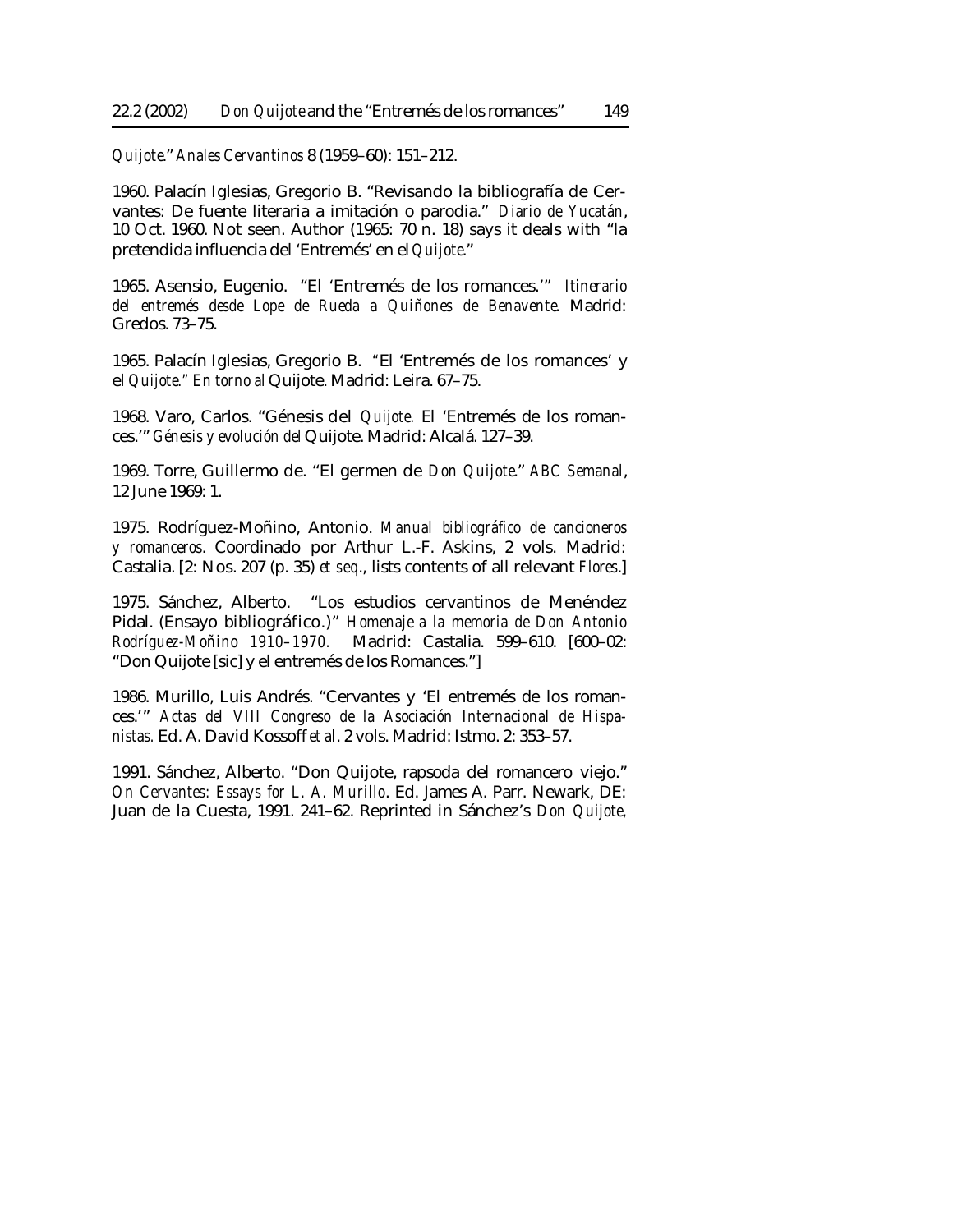*Quijote*." *Anales Cervantinos* 8 (1959–60): 151–212.

1960. Palacín Iglesias, Gregorio B. "Revisando la bibliografía de Cervantes: De fuente literaria a imitación o parodia." *Diario de Yucatán*, 10 Oct. 1960. Not seen. Author (1965: 70 n. 18) says it deals with "la pretendida influencia del 'Entremés' en el *Quijote*."

1965. Asensio, Eugenio. "El 'Entremés de los romances.'" *Itinerario del entremés desde Lope de Rueda a Quiñones de Benavente*. Madrid: Gredos. 73–75.

1965. Palacín Iglesias, Gregorio B. *"*El 'Entremés de los romances' y el *Quijote." En torno al* Quijote. Madrid: Leira. 67–75.

1968. Varo, Carlos. "Génesis del *Quijote.* El 'Entremés de los romances.'" *Génesis y evolución del* Quijote. Madrid: Alcalá. 127–39.

1969. Torre, Guillermo de. "El germen de *Don Quijote*." *ABC Semanal*, 12 June 1969: 1.

1975. Rodríguez-Moñino, Antonio. *Manual bibliográfico de cancioneros y romanceros*. Coordinado por Arthur L.-F. Askins, 2 vols. Madrid: Castalia. [2: Nos. 207 (p. 35) *et seq*., lists contents of all relevant *Flores*.]

1975. Sánchez, Alberto. "Los estudios cervantinos de Menéndez Pidal. (Ensayo bibliográfico.)" *Homenaje a la memoria de Don Antonio Rodríguez-Moñino 1910–1970.* Madrid: Castalia. 599–610. [600–02: "Don Quijote [sic] y el entremés de los Romances."]

1986. Murillo, Luis Andrés. "Cervantes y 'El entremés de los romances.'" *Actas del VIII Congreso de la Asociación Internacional de Hispanistas.* Ed. A. David Kossoff *et al*. 2 vols. Madrid: Istmo. 2: 353–57.

1991. Sánchez, Alberto. "Don Quijote, rapsoda del romancero viejo." *On Cervantes: Essays for L. A. Murillo*. Ed. James A. Parr. Newark, DE: Juan de la Cuesta, 1991. 241–62. Reprinted in Sánchez's *Don Quijote,*